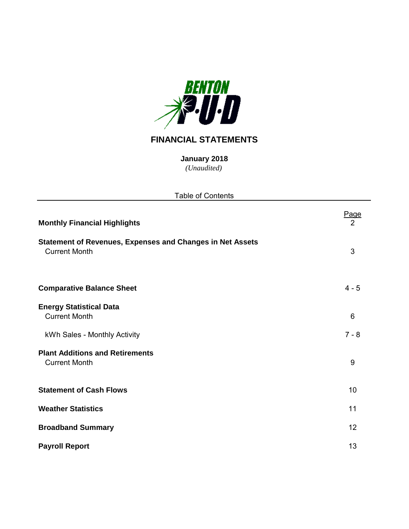

# **FINANCIAL STATEMENTS**

*(Unaudited)* **January 2018**

| <b>Table of Contents</b>                                                                 |           |
|------------------------------------------------------------------------------------------|-----------|
| <b>Monthly Financial Highlights</b>                                                      | Page<br>2 |
| <b>Statement of Revenues, Expenses and Changes in Net Assets</b><br><b>Current Month</b> | 3         |
| <b>Comparative Balance Sheet</b>                                                         | $4 - 5$   |
| <b>Energy Statistical Data</b><br><b>Current Month</b>                                   | 6         |
| kWh Sales - Monthly Activity                                                             | $7 - 8$   |
| <b>Plant Additions and Retirements</b><br><b>Current Month</b>                           | 9         |
| <b>Statement of Cash Flows</b>                                                           | 10        |
| <b>Weather Statistics</b>                                                                | 11        |
| <b>Broadband Summary</b>                                                                 | 12        |
| <b>Payroll Report</b>                                                                    | 13        |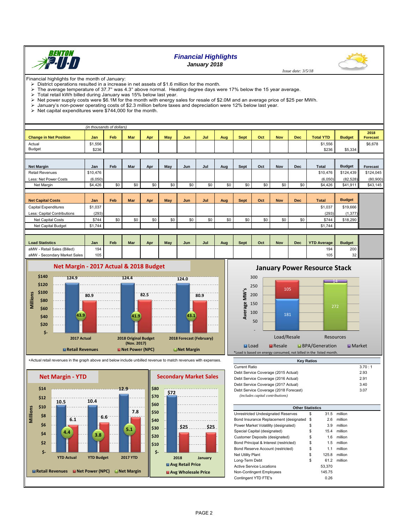

## *Financial Highlights*

*January 2018*



- District operations resulted in a increase in net assets of \$1.6 million for the month.<br>> The average temperature of 37.7° was 4.3° above normal. Heating degree days w The average temperature of 37.7° was 4.3° above normal. Heating degree days were 17% below the 15 year average.<br>> Total retail kWh billed during January was 15% below last year
- 
- $\triangleright$  Total retail kWh billed during January was 15% below last year.<br> $\triangleright$  Net power supply costs were \$6.1M for the month with energy s  $\triangleright$  Net power supply costs were \$6.1M for the month with energy sales for resale of \$2.0M and an average price of \$25 per MWh.<br> $\triangleright$  January's non-power operating costs of \$2.3 million before taxes and depreciation we
- $\triangleright$  January's non-power operating costs of \$2.3 million before taxes and depreciation were 12% below last year.<br> $\triangleright$  Net capital expenditures were \$744,000 for the month.
- Net capital expenditures were \$744,000 for the month.

|                               | (in thousands of dollars) |     |            |     |            |     |     |     |             |     |            |            |                  |               |                  |
|-------------------------------|---------------------------|-----|------------|-----|------------|-----|-----|-----|-------------|-----|------------|------------|------------------|---------------|------------------|
| <b>Change in Net Position</b> | Jan                       | Feb | <b>Mar</b> | Apr | May        | Jun | Jul | Aug | <b>Sept</b> | Oct | <b>Nov</b> | <b>Dec</b> | <b>Total YTD</b> | <b>Budget</b> | 2018<br>Forecast |
| Actual                        | \$1,556                   |     |            |     |            |     |     |     |             |     |            |            | \$1,556          |               | \$6,678          |
| Budget                        | \$236                     |     |            |     |            |     |     |     |             |     |            |            | \$236            | \$5,334       |                  |
|                               |                           |     |            |     |            |     |     |     |             |     |            |            |                  |               |                  |
| <b>Net Margin</b>             | Jan                       | Feb | Mar        | Apr | May        | Jun | Jul | Aug | Sept        | Oct | <b>Nov</b> | <b>Dec</b> | Total            | <b>Budget</b> | Forecast         |
| <b>Retail Revenues</b>        | \$10,476                  |     |            |     |            |     |     |     |             |     |            |            | \$10,476         | \$124,439     | \$124,045        |
| Less: Net Power Costs         | (6,050)                   |     |            |     |            |     |     |     |             |     |            |            | (6,050)          | (82, 528)     | (80,900)         |
| Net Margin                    | \$4,426                   | \$0 | \$0        | \$0 | \$0        | \$0 | \$0 | \$0 | \$0         | \$0 | \$0        | \$0        | \$4,426          | \$41,911      | \$43,145         |
|                               |                           |     |            |     |            |     |     |     |             |     |            |            |                  |               |                  |
| <b>Net Capital Costs</b>      | Jan                       | Feb | <b>Mar</b> | Apr | <b>May</b> | Jun | Jul | Aug | Sept        | Oct | <b>Nov</b> | <b>Dec</b> | <b>Total</b>     | <b>Budget</b> |                  |
| Capital Expenditures          | \$1,037                   |     |            |     |            |     |     |     |             |     |            |            | \$1,037          | \$19,666      |                  |
| Less: Capital Contributions   | (293)                     |     |            |     |            |     |     |     |             |     |            |            | (293)            | (1, 377)      |                  |
| Net Capital Costs             | \$744                     | \$0 | \$0        | \$0 | \$0        | \$0 | \$0 | \$0 | \$0         | \$0 | \$0        | \$0        | \$744            | \$18,290      |                  |
| Net Capital Budget            | \$1,744                   |     |            |     |            |     |     |     |             |     |            |            | \$1,744          |               |                  |
|                               |                           |     |            |     |            |     |     |     |             |     |            |            |                  |               |                  |

| <b>Load Statistics</b>           | Jan | Feb | <b>Mar</b> | Apı | May | Jun | Jul | Aug | Sept | Oct | <b>Nov</b> | <b>Dec</b> | <b>YTD Average</b> | <b>Budget</b>   |
|----------------------------------|-----|-----|------------|-----|-----|-----|-----|-----|------|-----|------------|------------|--------------------|-----------------|
| - Retail Sales (Billed)<br>aMW - | 194 |     |            |     |     |     |     |     |      |     |            |            | 194                | 200             |
| aMW<br>- Secondary Market Sales  | 105 |     |            |     |     |     |     |     |      |     |            |            | 105 <sub>h</sub>   | 32 <sup>1</sup> |



#### +Actual retail revenues in the graph above and below include unbilled revenue to match revenues with expenses.



**January Power Resource Stack** 

 *Issue date: 3/5/18*



| <b>INGY INGLIUS</b>                                                       |        |
|---------------------------------------------------------------------------|--------|
| Current Ratio                                                             | 3.70:1 |
| Debt Service Coverage (2015 Actual)                                       | 2.93   |
| Debt Service Coverage (2016 Actual)                                       | 2.91   |
| Debt Service Coverage (2017 Actual)                                       | 3.40   |
| Debt Service Coverage (2018 Forecast)<br>(includes capital contributions) | 3.07   |
|                                                                           |        |

**Key Ratios**

| <b>Other Statistics</b>                   |             |         |  |
|-------------------------------------------|-------------|---------|--|
| Unrestricted Undesignated Reserves        | \$<br>31.5  | million |  |
| Bond Insurance Replacement (designated \$ | 2.6         | million |  |
| Power Market Volatility (designated)      | \$<br>3.9   | million |  |
| Special Capital (designated)              | \$<br>15.4  | million |  |
| Customer Deposits (designated)            | \$<br>1.6   | million |  |
| Bond Principal & Interest (restricted)    | \$<br>1.5   | million |  |
| Bond Reserve Account (restricted)         | \$<br>1.1   | million |  |
| <b>Net Utility Plant</b>                  | \$<br>125.8 | million |  |
| Long-Term Debt                            | \$<br>61.2  | million |  |
| <b>Active Service Locations</b>           | 53,370      |         |  |
| Non-Contingent Employees                  | 145.75      |         |  |
| Contingent YTD FTE's                      | 0.26        |         |  |

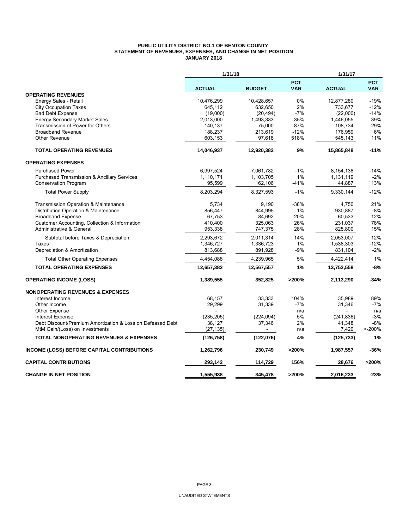#### **PUBLIC UTILITY DISTRICT NO.1 OF BENTON COUNTY STATEMENT OF REVENUES, EXPENSES, AND CHANGE IN NET POSITION JANUARY 2018**

|                                                            | 1/31/18       |               |                          | 1/31/17       |                          |
|------------------------------------------------------------|---------------|---------------|--------------------------|---------------|--------------------------|
|                                                            | <b>ACTUAL</b> | <b>BUDGET</b> | <b>PCT</b><br><b>VAR</b> | <b>ACTUAL</b> | <b>PCT</b><br><b>VAR</b> |
| <b>OPERATING REVENUES</b>                                  |               |               |                          |               |                          |
| Energy Sales - Retail                                      | 10,476,299    | 10,428,657    | 0%                       | 12,877,280    | $-19%$                   |
| <b>City Occupation Taxes</b>                               | 645,112       | 632.650       | 2%                       | 733.677       | $-12%$                   |
| <b>Bad Debt Expense</b>                                    | (19,000)      | (20, 494)     | -7%                      | (22,000)      | $-14%$                   |
| <b>Energy Secondary Market Sales</b>                       | 2,013,000     | 1,493,333     | 35%                      | 1,446,055     | 39%                      |
| Transmission of Power for Others                           | 140,137       | 75,000        | 87%                      | 108.734       | 29%                      |
| <b>Broadband Revenue</b>                                   | 188,237       | 213,619       | $-12%$                   | 176,959       | 6%                       |
| Other Revenue                                              | 603,153       | 97,618        | 518%                     | 545,143       | 11%                      |
| <b>TOTAL OPERATING REVENUES</b>                            | 14,046,937    | 12,920,382    | 9%                       | 15,865,848    | $-11%$                   |
| <b>OPERATING EXPENSES</b>                                  |               |               |                          |               |                          |
| <b>Purchased Power</b>                                     | 6,997,524     | 7,061,782     | $-1%$                    | 8,154,138     | $-14%$                   |
| <b>Purchased Transmission &amp; Ancillary Services</b>     | 1,110,171     | 1,103,705     | 1%                       | 1,131,119     | $-2%$                    |
| <b>Conservation Program</b>                                | 95,599        | 162,106       | -41%                     | 44,887        | 113%                     |
| <b>Total Power Supply</b>                                  | 8,203,294     | 8,327,593     | $-1%$                    | 9,330,144     | $-12%$                   |
| Transmission Operation & Maintenance                       | 5,734         | 9.190         | $-38%$                   | 4,750         | 21%                      |
| Distribution Operation & Maintenance                       | 856,447       | 844,995       | 1%                       | 930,887       | $-8%$                    |
| <b>Broadband Expense</b>                                   | 67,753        | 84,692        | $-20%$                   | 60.533        | 12%                      |
| Customer Accounting, Collection & Information              | 410,400       | 325,063       | 26%                      | 231,037       | 78%                      |
| Administrative & General                                   | 953,338       | 747,375       | 28%                      | 825,800       | 15%                      |
| Subtotal before Taxes & Depreciation                       | 2,293,672     | 2,011,314     | 14%                      | 2,053,007     | 12%                      |
| Taxes                                                      | 1,346,727     | 1,336,723     | $1\%$                    | 1,538,303     | $-12%$                   |
| Depreciation & Amortization                                | 813,688       | 891,928       | $-9%$                    | 831,104       | $-2%$                    |
| <b>Total Other Operating Expenses</b>                      | 4,454,088     | 4,239,965     | 5%                       | 4,422,414     | 1%                       |
| <b>TOTAL OPERATING EXPENSES</b>                            | 12,657,382    | 12,567,557    | 1%                       | 13,752,558    | $-8%$                    |
| <b>OPERATING INCOME (LOSS)</b>                             | 1,389,555     | 352,825       | >200%                    | 2,113,290     | $-34%$                   |
| <b>NONOPERATING REVENUES &amp; EXPENSES</b>                |               |               |                          |               |                          |
| Interest Income                                            | 68,157        | 33,333        | 104%                     | 35,989        | 89%                      |
| Other Income                                               | 29,299        | 31,339        | $-7%$                    | 31,346        | $-7%$                    |
| <b>Other Expense</b>                                       |               |               | n/a                      |               | n/a                      |
| <b>Interest Expense</b>                                    | (235, 205)    | (224, 094)    | 5%                       | (241, 836)    | $-3%$                    |
| Debt Discount/Premium Amortization & Loss on Defeased Debt | 38,127        | 37,346        | 2%                       | 41,348        | $-8%$                    |
| MtM Gain/(Loss) on Investments                             | (27, 135)     |               | n/a                      | 7,420         | $> -200%$                |
| <b>TOTAL NONOPERATING REVENUES &amp; EXPENSES</b>          | (126, 758)    | (122, 076)    | 4%                       | (125, 733)    | 1%                       |
| <b>INCOME (LOSS) BEFORE CAPITAL CONTRIBUTIONS</b>          | 1,262,796     | 230,749       | >200%                    | 1,987,557     | $-36%$                   |
| <b>CAPITAL CONTRIBUTIONS</b>                               | 293,142       | 114,729       | 156%                     | 28,676        | >200%                    |
| <b>CHANGE IN NET POSITION</b>                              | 1,555,938     | 345,478       | >200%                    | 2.016.233     | $-23%$                   |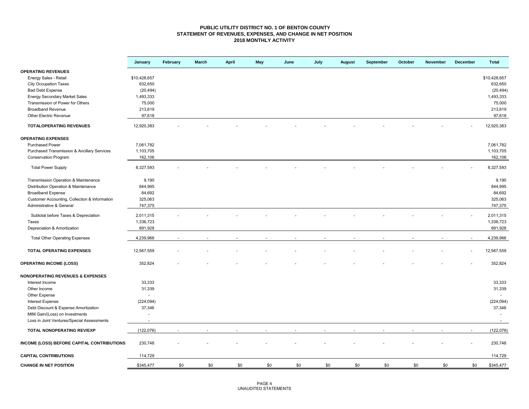#### **PUBLIC UTILITY DISTRICT NO. 1 OF BENTON COUNTY STATEMENT OF REVENUES, EXPENSES, AND CHANGE IN NET POSITION 2018 MONTHLY ACTIVITY**

|                                               | January      | February | <b>March</b> | April | May | June | July | <b>August</b> | September | October | November | December | <b>Total</b> |
|-----------------------------------------------|--------------|----------|--------------|-------|-----|------|------|---------------|-----------|---------|----------|----------|--------------|
| <b>OPERATING REVENUES</b>                     |              |          |              |       |     |      |      |               |           |         |          |          |              |
| Energy Sales - Retail                         | \$10,428,657 |          |              |       |     |      |      |               |           |         |          |          | \$10,428,657 |
| <b>City Occupation Taxes</b>                  | 632,650      |          |              |       |     |      |      |               |           |         |          |          | 632,650      |
| <b>Bad Debt Expense</b>                       | (20, 494)    |          |              |       |     |      |      |               |           |         |          |          | (20, 494)    |
| <b>Energy Secondary Market Sales</b>          | 1,493,333    |          |              |       |     |      |      |               |           |         |          |          | 1,493,333    |
| Transmission of Power for Others              | 75,000       |          |              |       |     |      |      |               |           |         |          |          | 75,000       |
| <b>Broadband Revenue</b>                      | 213,619      |          |              |       |     |      |      |               |           |         |          |          | 213,619      |
| Other Electric Revenue                        | 97,618       |          |              |       |     |      |      |               |           |         |          |          | 97,618       |
| <b>TOTALOPERATING REVENUES</b>                | 12,920,383   |          |              |       |     |      |      |               |           |         |          |          | 12,920,383   |
| <b>OPERATING EXPENSES</b>                     |              |          |              |       |     |      |      |               |           |         |          |          |              |
| <b>Purchased Power</b>                        |              |          |              |       |     |      |      |               |           |         |          |          | 7,061,782    |
|                                               | 7,061,782    |          |              |       |     |      |      |               |           |         |          |          |              |
| Purchased Transmission & Ancillary Services   | 1,103,705    |          |              |       |     |      |      |               |           |         |          |          | 1,103,705    |
| Conservation Program                          | 162,106      |          |              |       |     |      |      |               |           |         |          |          | 162,106      |
| <b>Total Power Supply</b>                     | 8,327,593    |          |              |       |     |      |      |               |           |         |          |          | 8,327,593    |
| Transmission Operation & Maintenance          | 9,190        |          |              |       |     |      |      |               |           |         |          |          | 9,190        |
| Distribution Operation & Maintenance          | 844,995      |          |              |       |     |      |      |               |           |         |          |          | 844,995      |
| <b>Broadband Expense</b>                      | 84,692       |          |              |       |     |      |      |               |           |         |          |          | 84,692       |
| Customer Accounting, Collection & Information | 325,063      |          |              |       |     |      |      |               |           |         |          |          | 325,063      |
| Administrative & General                      | 747,375      |          |              |       |     |      |      |               |           |         |          |          | 747,375      |
|                                               |              |          |              |       |     |      |      |               |           |         |          |          |              |
| Subtotal before Taxes & Depreciation          | 2,011,315    |          |              |       |     |      |      |               |           |         |          |          | 2,011,315    |
| Taxes                                         | 1,336,723    |          |              |       |     |      |      |               |           |         |          |          | 1,336,723    |
| Depreciation & Amortization                   | 891,928      |          |              |       |     |      |      |               |           |         |          |          | 891,928      |
| <b>Total Other Operating Expenses</b>         | 4,239,966    | $\sim$   |              |       |     |      |      |               |           |         |          |          | 4,239,966    |
| TOTAL OPERATING EXPENSES                      | 12,567,559   |          |              |       |     |      |      |               |           |         |          |          | 12,567,559   |
| <b>OPERATING INCOME (LOSS)</b>                | 352,824      |          |              |       |     |      |      |               |           |         |          |          | 352,824      |
| <b>NONOPERATING REVENUES &amp; EXPENSES</b>   |              |          |              |       |     |      |      |               |           |         |          |          |              |
| Interest Income                               | 33,333       |          |              |       |     |      |      |               |           |         |          |          | 33,333       |
| Other Income                                  | 31,339       |          |              |       |     |      |      |               |           |         |          |          | 31,339       |
| Other Expense                                 | ÷            |          |              |       |     |      |      |               |           |         |          |          |              |
| Interest Expense                              | (224, 094)   |          |              |       |     |      |      |               |           |         |          |          | (224, 094)   |
| Debt Discount & Expense Amortization          | 37,346       |          |              |       |     |      |      |               |           |         |          |          | 37,346       |
| MtM Gain/(Loss) on Investments                | ٠            |          |              |       |     |      |      |               |           |         |          |          | $\sim$       |
| Loss in Joint Ventures/Special Assessments    |              |          |              |       |     |      |      |               |           |         |          |          | $\sim$       |
| TOTAL NONOPERATING REV/EXP                    | (122, 076)   |          |              |       |     |      |      |               |           |         |          |          | (122, 076)   |
| INCOME (LOSS) BEFORE CAPITAL CONTRIBUTIONS    | 230,748      |          |              |       |     |      |      |               |           |         |          |          | 230,748      |
| <b>CAPITAL CONTRIBUTIONS</b>                  | 114,729      |          |              |       |     |      |      |               |           |         |          |          | 114,729      |
| <b>CHANGE IN NET POSITION</b>                 | \$345,477    | \$0      | \$0          | \$0   | \$0 | \$0  | \$0  | \$0           | \$0       | \$0     | \$0      | \$0      | \$345,477    |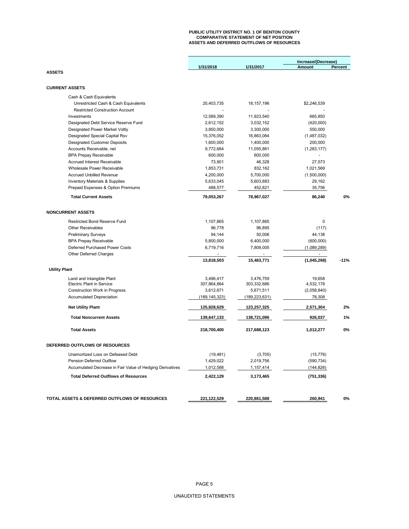### **PUBLIC UTILITY DISTRICT NO. 1 OF BENTON COUNTY COMPARATIVE STATEMENT OF NET POSITION ASSETS AND DEFERRED OUTFLOWS OF RESOURCES**

|                                                           |                 |                 | Increase/(Decrease) |         |
|-----------------------------------------------------------|-----------------|-----------------|---------------------|---------|
|                                                           | 1/31/2018       | 1/31/2017       | Amount              | Percent |
| <b>ASSETS</b>                                             |                 |                 |                     |         |
|                                                           |                 |                 |                     |         |
| <b>CURRENT ASSETS</b>                                     |                 |                 |                     |         |
| Cash & Cash Equivalents                                   |                 |                 |                     |         |
| Unrestricted Cash & Cash Equivalents                      | 20,403,735      | 18, 157, 196    | \$2,246,539         |         |
| <b>Restricted Construction Account</b>                    |                 |                 |                     |         |
| Investments                                               | 12,589,390      | 11,923,540      | 665,850             |         |
| Designated Debt Service Reserve Fund                      | 2,612,152       | 3,032,152       | (420,000)           |         |
| Designated Power Market Voltly                            | 3,850,000       | 3,300,000       | 550,000             |         |
| Designated Special Capital Rsv                            | 15,376,052      | 16,863,084      | (1,487,032)         |         |
| <b>Designated Customer Deposits</b>                       | 1,600,000       | 1,400,000       | 200,000             |         |
| Accounts Receivable, net                                  | 9,772,684       | 11,055,861      | (1, 283, 177)       |         |
| <b>BPA Prepay Receivable</b>                              | 600,000         | 600,000         |                     |         |
| Accrued Interest Receivable                               | 73,901          | 46,328          | 27,573              |         |
| Wholesale Power Receivable                                | 1,853,731       | 832,162         | 1,021,569           |         |
| <b>Accrued Unbilled Revenue</b>                           | 4,200,000       | 5,700,000       | (1,500,000)         |         |
| <b>Inventory Materials &amp; Supplies</b>                 | 5,633,045       | 5,603,883       | 29,162              |         |
|                                                           |                 |                 |                     |         |
| Prepaid Expenses & Option Premiums                        | 488,577         | 452,821         | 35,756              |         |
| <b>Total Current Assets</b>                               | 79,053,267      | 78,967,027      | 86,240              | 0%      |
|                                                           |                 |                 |                     |         |
| <b>NONCURRENT ASSETS</b>                                  |                 |                 |                     |         |
| <b>Restricted Bond Reserve Fund</b>                       | 1,107,865       | 1,107,865       | $\mathbf 0$         |         |
| Other Receivables                                         | 96,778          | 96,895          | (117)               |         |
| <b>Preliminary Surveys</b>                                | 94,144          | 50,006          | 44,138              |         |
| <b>BPA Prepay Receivable</b>                              | 5,800,000       | 6,400,000       | (600,000)           |         |
| Deferred Purchased Power Costs                            | 6,719,716       | 7,809,005       | (1,089,289)         |         |
| <b>Other Deferred Charges</b>                             |                 |                 | $\overline{a}$      |         |
|                                                           | 13,818,503      | 15,463,771      | (1,045,268)         | $-11%$  |
| <b>Utility Plant</b>                                      |                 |                 |                     |         |
| Land and Intangible Plant                                 | 3,496,417       | 3,476,759       | 19,658              |         |
| <b>Electric Plant in Service</b>                          | 307,864,864     | 303,332,686     | 4,532,178           |         |
| Construction Work in Progress                             | 3,612,671       | 5,671,511       | (2,058,840)         |         |
| <b>Accumulated Depreciation</b>                           | (189, 145, 323) | (189, 223, 631) | 78,308              |         |
| <b>Net Utility Plant</b>                                  |                 |                 | 2,571,304           | 2%      |
|                                                           | 125,828,629     | 123,257,325     |                     |         |
| <b>Total Noncurrent Assets</b>                            | 139,647,133     | 138,721,096     | 926,037             | 1%      |
| <b>Total Assets</b>                                       | 218,700,400     | 217,688,123     | 1,012,277           | 0%      |
| DEFERRED OUTFLOWS OF RESOURCES                            |                 |                 |                     |         |
| Unamortized Loss on Defeased Debt                         | (19, 481)       | (3,705)         | (15, 776)           |         |
| <b>Pension Deferred Outflow</b>                           | 1,429,022       | 2,019,756       | (590, 734)          |         |
| Accumulated Decrease in Fair Value of Hedging Derivatives | 1,012,588       | 1,157,414       | (144, 826)          |         |
| <b>Total Deferred Outflows of Resources</b>               | 2,422,129       | 3,173,465       | (751, 336)          |         |
|                                                           |                 |                 |                     |         |
|                                                           |                 |                 |                     |         |
| TOTAL ASSETS & DEFERRED OUTFLOWS OF RESOURCES             | 221,122,529     | 220,861,588     | 260,941             | 0%      |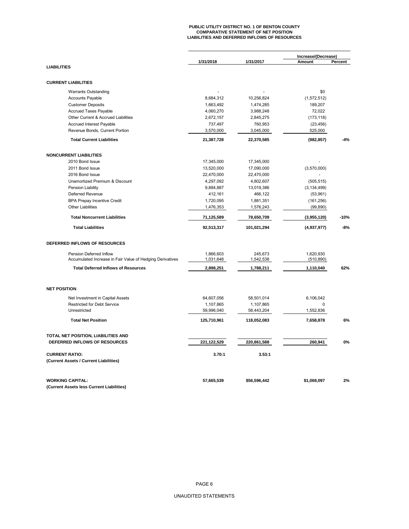# **PUBLIC UTILITY DISTRICT NO. 1 OF BENTON COUNTY COMPARATIVE STATEMENT OF NET POSITION LIABILITIES AND DEFERRED INFLOWS OF RESOURCES**

|                                                           |                         |                         | Increase/(Decrease) |         |
|-----------------------------------------------------------|-------------------------|-------------------------|---------------------|---------|
| <b>LIABILITIES</b>                                        | 1/31/2018               | 1/31/2017               | Amount              | Percent |
|                                                           |                         |                         |                     |         |
| <b>CURRENT LIABILITIES</b>                                |                         |                         |                     |         |
| <b>Warrants Outstanding</b>                               |                         |                         | \$0                 |         |
| <b>Accounts Payable</b>                                   | 8,684,312               | 10,256,824              | (1,572,512)         |         |
| <b>Customer Deposits</b>                                  | 1,663,492               | 1,474,285               | 189,207             |         |
| <b>Accrued Taxes Payable</b>                              | 4,060,270               | 3,988,248               | 72,022              |         |
| Other Current & Accrued Liabilities                       | 2,672,157               | 2,845,275               | (173, 118)          |         |
| Accrued Interest Payable                                  | 737,497                 | 760,953                 | (23, 456)           |         |
| Revenue Bonds, Current Portion                            | 3,570,000               | 3,045,000               | 525,000             |         |
| <b>Total Current Liabilities</b>                          | 21,387,728              | 22,370,585              | (982, 857)          | $-4%$   |
| <b>NONCURRENT LIABILITIES</b>                             |                         |                         |                     |         |
| 2010 Bond Issue                                           | 17,345,000              | 17,345,000              |                     |         |
| 2011 Bond Issue                                           | 13,520,000              | 17,090,000              | (3,570,000)         |         |
| 2016 Bond Issue                                           | 22,470,000              | 22,470,000              |                     |         |
| Unamortized Premium & Discount                            | 4,297,092               | 4,802,607               | (505, 515)          |         |
| Pension Liability                                         | 9,884,887               | 13,019,386              | (3, 134, 499)       |         |
| Deferred Revenue                                          | 412,161                 | 466,122                 | (53,961)            |         |
| <b>BPA Prepay Incentive Credit</b>                        | 1,720,095               | 1,881,351               | (161, 256)          |         |
| <b>Other Liabilities</b>                                  | 1,476,353               | 1,576,243               | (99, 890)           |         |
|                                                           |                         |                         |                     |         |
| <b>Total Noncurrent Liabilities</b>                       | 71,125,589              | 78,650,709              | (3,955,120)         | $-10%$  |
| <b>Total Liabilities</b>                                  | 92,513,317              | 101,021,294             | (4,937,977)         | $-8%$   |
| DEFERRED INFLOWS OF RESOURCES                             |                         |                         |                     |         |
| Pension Deferred Inflow                                   | 1,866,603               | 245,673                 | 1,620,930           |         |
| Accumulated Increase in Fair Value of Hedging Derivatives | 1,031,648               | 1,542,538               | (510, 890)          |         |
| <b>Total Deferred Inflows of Resources</b>                | 2,898,251               | 1,788,211               | 1,110,040           | 62%     |
| <b>NET POSITION</b>                                       |                         |                         |                     |         |
|                                                           |                         |                         |                     |         |
| Net Investment in Capital Assets                          | 64,607,056              | 58,501,014              | 6,106,042           |         |
| <b>Restricted for Debt Service</b><br>Unrestricted        | 1,107,865<br>59,996,040 | 1,107,865<br>58,443,204 | 0<br>1,552,836      |         |
| <b>Total Net Position</b>                                 | 125,710,961             | 118,052,083             | 7,658,878           | 6%      |
|                                                           |                         |                         |                     |         |
| TOTAL NET POSITION, LIABILITIES AND                       |                         |                         |                     |         |
| DEFERRED INFLOWS OF RESOURCES                             | 221,122,529             | 220,861,588             | 260,941             | 0%      |
| <b>CURRENT RATIO:</b>                                     | 3.70:1                  | 3.53:1                  |                     |         |
| (Current Assets / Current Liabilities)                    |                         |                         |                     |         |
| <b>WORKING CAPITAL:</b>                                   | 57,665,539              | \$56,596,442            | \$1,069,097         | 2%      |
| (Current Assets less Current Liabilities)                 |                         |                         |                     |         |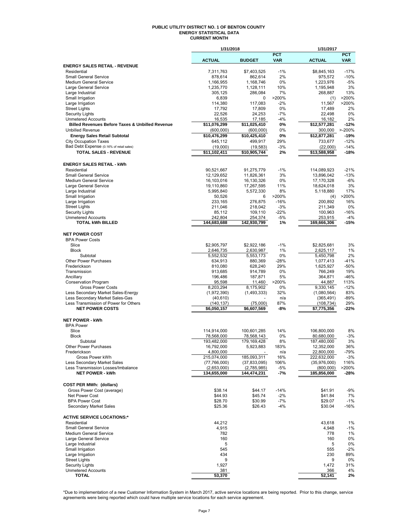#### **PUBLIC UTILITY DISTRICT NO. 1 OF BENTON COUNTY ENERGY STATISTICAL DATA CURRENT MONTH**

|                                                                                       | 1/31/2018                  |                            |                          | 1/31/2017                 |                          |
|---------------------------------------------------------------------------------------|----------------------------|----------------------------|--------------------------|---------------------------|--------------------------|
|                                                                                       | <b>ACTUAL</b>              | <b>BUDGET</b>              | <b>PCT</b><br><b>VAR</b> | <b>ACTUAL</b>             | <b>PCT</b><br><b>VAR</b> |
| <b>ENERGY SALES RETAIL - REVENUE</b>                                                  |                            |                            |                          |                           |                          |
| Residential                                                                           | 7.311.763                  | \$7,403,525                | $-1%$                    | \$8,845,163               | $-17%$                   |
| <b>Small General Service</b>                                                          | 878,614                    | 862,614                    | 2%                       | 975,572                   | $-10%$                   |
| Medium General Service                                                                | 1,166,955                  | 1,168,746                  | 0%                       | 1,223,976                 | $-5%$                    |
| Large General Service                                                                 | 1,235,770<br>305,125       | 1,128,111                  | 10%<br>7%                | 1,195,948                 | 3%<br>13%                |
| Large Industrial<br>Small Irrigation                                                  | 6,839                      | 286,084<br>0               | >200%                    | 268,887<br>(1)            | >200%                    |
| Large Irrigation                                                                      | 114,380                    | 117,083                    | $-2%$                    | 11,567                    | >200%                    |
| <b>Street Lights</b>                                                                  | 17,792                     | 17,809                     | 0%                       | 17,489                    | 2%                       |
| <b>Security Lights</b>                                                                | 22,526                     | 24,253                     | $-7%$                    | 22,498                    | 0%                       |
| <b>Unmetered Accounts</b>                                                             | 16,535                     | 17,185                     | $-4%$                    | 16,182                    | 2%                       |
| <b>Billed Revenues Before Taxes &amp; Unbilled Revenue</b><br><b>Unbilled Revenue</b> | \$11,076,299<br>(600,000)  | \$11,025,410<br>(600, 000) | 0%<br>0%                 | \$12,577,281<br>300,000   | $-12%$<br>$>-200%$       |
| <b>Energy Sales Retail Subtotal</b>                                                   | \$10,476,299               | \$10,425,410               | 0%                       | \$12,877,281              | $-19%$                   |
| <b>City Occupation Taxes</b>                                                          | 645.112                    | 499,917                    | 29%                      | 733,677                   | $-12%$                   |
| Bad Debt Expense (0.16% of retail sales)                                              | (19,000)                   | (19, 583)                  | $-3%$                    | (22,000)                  | $-14%$                   |
| <b>TOTAL SALES - REVENUE</b>                                                          | \$11,102,411               | \$10,905,744               | 2%                       | \$13,588,958              | $-18%$                   |
|                                                                                       |                            |                            |                          |                           |                          |
| <b>ENERGY SALES RETAIL - kWh</b>                                                      |                            |                            |                          |                           |                          |
| Residential                                                                           | 90,521,667                 | 91,275,779                 | $-1%$                    | 114,089,923               | $-21%$                   |
| <b>Small General Service</b><br>Medium General Service                                | 12,129,652<br>16,103,016   | 11,826,361<br>16.130.326   | 3%<br>0%                 | 13,896,042<br>17,170,328  | $-13%$<br>-6%            |
| Large General Service                                                                 | 19,110,860                 | 17,267,595                 | 11%                      | 18,624,018                | 3%                       |
| Large Industrial                                                                      | 5,995,840                  | 5,572,330                  | 8%                       | 5,118,880                 | 17%                      |
| Small Irrigation                                                                      | 50,526                     | 6                          | >200%                    | (4)                       | >200%                    |
| Large Irrigation                                                                      | 233,165                    | 276,875                    | $-16%$                   | 200,892                   | 16%                      |
| <b>Street Lights</b>                                                                  | 211,046                    | 218,042                    | $-3%$                    | 211,349                   | 0%                       |
| <b>Security Lights</b>                                                                | 85,112                     | 109,110                    | $-22%$                   | 100,963                   | $-16%$                   |
| <b>Unmetered Accounts</b><br><b>TOTAL kWh BILLED</b>                                  | 242,804<br>144,683,688     | 254,374<br>142,930,799     | -5%<br>1%                | 253,915<br>169,666,306    | $-4%$<br>$-15%$          |
|                                                                                       |                            |                            |                          |                           |                          |
| <b>NET POWER COST</b>                                                                 |                            |                            |                          |                           |                          |
| <b>BPA Power Costs</b>                                                                |                            |                            |                          |                           |                          |
| Slice                                                                                 | \$2,905,797                | \$2,922,186                | $-1%$                    | \$2,825,681               | 3%                       |
| <b>Block</b>                                                                          | 2,646,735                  | 2,630,987                  | 1%                       | 2,625,117                 | 1%                       |
| Subtotal<br>Other Power Purchases                                                     | 5,552,532<br>634,913       | 5,553,173<br>880,369       | 0%<br>$-28%$             | 5,450,798<br>1,077,413    | 2%<br>$-41%$             |
| Frederickson                                                                          | 810,080                    | 628,240                    | 29%                      | 1,625,927                 | $-50%$                   |
| Transmission                                                                          | 913,685                    | 914,789                    | 0%                       | 766,249                   | 19%                      |
| Ancillary                                                                             | 196,486                    | 187,871                    | 5%                       | 364,871                   | $-46%$                   |
| <b>Conservation Program</b>                                                           | 95,598                     | 11,460                     | >200%                    | 44,887                    | 113%                     |
| <b>Gross Power Costs</b>                                                              | 8,203,294                  | 8,175,902                  | 0%                       | 9,330,145                 | $-12%$                   |
| Less Secondary Market Sales-Energy                                                    | (1,972,390)                | (1,493,333)                | 32%                      | (1,080,564)               | 83%                      |
| Less Secondary Market Sales-Gas<br>Less Transmission of Power for Others              | (40, 610)<br>(140, 137)    | (75,000)                   | n/a<br>87%               | (365, 491)<br>(108, 734)  | $-89%$<br>29%            |
| <b>NET POWER COSTS</b>                                                                | \$6,050,157                | \$6,607,569                | -8%                      | \$7,775,356               | -22%                     |
|                                                                                       |                            |                            |                          |                           |                          |
| <b>NET POWER - kWh</b>                                                                |                            |                            |                          |                           |                          |
| <b>BPA Power</b>                                                                      |                            |                            |                          |                           |                          |
| Slice<br><b>Block</b>                                                                 | 114,914,000<br>78,568,000  | 100,601,285                | 14%                      | 106,800,000<br>80,680,000 | 8%<br>$-3%$              |
| Subtotal                                                                              | 193,482,000                | 78,568,143<br>179.169.428  | 0%<br>8%                 | 187.480.000               | 3%                       |
| Other Power Purchases                                                                 | 16,792,000                 | 5,923,883                  | 183%                     | 12,352,000                | 36%                      |
| Frederickson                                                                          | 4,800,000                  |                            | n/a                      | 22,800,000                | $-79%$                   |
| Gross Power kWh                                                                       | 215,074,000                | 185,093,311                | 16%                      | 222,632,000               | $-3%$                    |
| Less Secondary Market Sales                                                           | (77,766,000)               | (37, 833, 095)             | 106%                     | (35,976,000)              | 116%                     |
| Less Transmission Losses/Imbalance<br><b>NET POWER - kWh</b>                          | (2,653,000)<br>134,655,000 | (2,785,985)<br>144,474,231 | $-5%$<br>-7%             | (800, 000)<br>185,856,000 | >200%<br>-28%            |
|                                                                                       |                            |                            |                          |                           |                          |
| <b>COST PER MWh: (dollars)</b>                                                        |                            |                            |                          |                           |                          |
| Gross Power Cost (average)                                                            | \$38.14                    | \$44.17                    | $-14%$                   | \$41.91                   | $-9%$                    |
| Net Power Cost                                                                        | \$44.93                    | \$45.74                    | $-2%$                    | \$41.84                   | 7%                       |
| <b>BPA Power Cost</b>                                                                 | \$28.70                    | \$30.99                    | $-7%$                    | \$29.07                   | -1%                      |
| Secondary Market Sales                                                                | \$25.36                    | \$26.43                    | $-4%$                    | \$30.04                   | $-16%$                   |
| <b>ACTIVE SERVICE LOCATIONS:*</b>                                                     |                            |                            |                          |                           |                          |
| Residential                                                                           | 44,212                     |                            |                          | 43,618                    | 1%                       |
| <b>Small General Service</b>                                                          | 4,915                      |                            |                          | 4,948                     | $-1%$                    |
| Medium General Service                                                                | 782                        |                            |                          | 778                       | 1%                       |
| Large General Service                                                                 | 160                        |                            |                          | 160                       | 0%                       |
| Large Industrial                                                                      | 5                          |                            |                          | 5                         | 0%                       |
| Small Irrigation                                                                      | 545<br>434                 |                            |                          | 555<br>230                | $-2\%$<br>89%            |
| Large Irrigation<br><b>Street Lights</b>                                              | 9                          |                            |                          | 9                         | 0%                       |
| <b>Security Lights</b>                                                                | 1,927                      |                            |                          | 1,472                     | 31%                      |
| <b>Unmetered Accounts</b>                                                             | 381                        |                            |                          | 366                       | 4%                       |
| <b>TOTAL</b>                                                                          | 53,370                     |                            |                          | 52,141                    | 2%                       |

\*Due to implementation of a new Customer Information System in March 2017, active service locations are being reported. Prior to this change, service<br>agreements were being reported which could have multiple service locati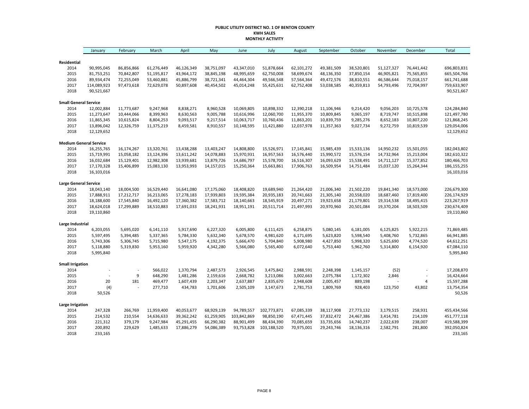#### **PUBLIC UTILITY DISTRICT NO. 1 OF BENTON COUNTY KWH SALES MONTHLY ACTIVITY**

|                               | January     | February   | March      | April      | May        | June        | July        | August     | September  | October    | November   | December   | Total         |
|-------------------------------|-------------|------------|------------|------------|------------|-------------|-------------|------------|------------|------------|------------|------------|---------------|
|                               |             |            |            |            |            |             |             |            |            |            |            |            |               |
| Residential                   |             |            |            |            |            |             |             |            |            |            |            |            |               |
| 2014                          | 90,995,045  | 86,856,866 | 61,276,449 | 46,126,349 | 38,751,097 | 43,347,010  | 51,878,664  | 62,101,272 | 49,381,509 | 38,520,801 | 51,127,327 | 76,441,442 | 696,803,831   |
| 2015                          | 81,753,251  | 70,842,807 | 51,195,817 | 43,964,172 | 38,845,198 | 48,995,659  | 62,750,008  | 58,699,674 | 48,136,350 | 37,850,154 | 46,905,821 | 75,565,855 | 665,504,766   |
| 2016                          | 89,934,474  | 72,255,049 | 53,460,881 | 45,886,799 | 38,721,341 | 44,464,304  | 49,566,548  | 57,564,364 | 49,472,576 | 38,810,551 | 46,586,644 | 75,018,157 | 661,741,688   |
| 2017                          | 114,089,923 | 97,473,618 | 72,629,078 | 50,897,608 | 40,454,502 | 45,014,248  | 55,425,631  | 62,752,408 | 53,038,585 | 40,359,813 | 54,793,496 | 72,704,997 | 759,633,907   |
| 2018                          | 90,521,667  |            |            |            |            |             |             |            |            |            |            |            | 90,521,667    |
| <b>Small General Service</b>  |             |            |            |            |            |             |             |            |            |            |            |            |               |
| 2014                          | 12,002,884  | 11,773,687 | 9,247,968  | 8,838,271  | 8,960,528  | 10,069,805  | 10,898,332  | 12,390,218 | 11,106,946 | 9,214,420  | 9,056,203  | 10,725,578 | 124,284,840   |
| 2015                          | 11,273,647  | 10,444,066 | 8,399,963  | 8,630,563  | 9,005,788  | 10,616,996  | 12,060,700  | 11,955,370 | 10,809,845 | 9,065,197  | 8,719,747  | 10,515,898 | 121,497,780   |
| 2016                          | 11,865,345  | 10,615,824 | 8,804,253  | 9,093,517  | 9,217,514  | 10,063,717  | 10,760,436  | 11,863,201 | 10,839,759 | 9,285,276  | 8,652,183  | 10,807,220 | 121,868,245   |
| 2017                          | 13,896,042  | 12,326,759 | 11,375,219 | 8,459,581  | 8,910,557  | 10,148,595  | 11,421,880  | 12,037,978 | 11,357,363 | 9,027,734  | 9,272,759  | 10,819,539 | 129,054,006   |
| 2018                          | 12,129,652  |            |            |            |            |             |             |            |            |            |            |            | 12,129,652    |
| <b>Medium General Service</b> |             |            |            |            |            |             |             |            |            |            |            |            |               |
| 2014                          | 16,255,765  | 16,174,267 | 13,320,761 | 13,438,288 | 13,403,247 | 14,808,800  | 15,526,971  | 17,145,841 | 15,985,439 | 15,533,136 | 14,950,232 | 15,501,055 | 182,043,802   |
| 2015                          | 15,719,991  | 15,058,182 | 13,124,396 | 13,611,242 | 14,078,883 | 15,970,931  | 16,957,563  | 16,576,440 | 15,990,572 | 15,576,154 | 14,732,964 | 15,213,004 | 182,610,322   |
| 2016                          | 16,032,684  | 15,129,401 | 12,982,308 | 13,939,681 | 13,879,726 | 14,686,797  | 15,578,700  | 16,516,307 | 16,093,629 | 15,538,491 | 14,711,127 | 15,377,852 | 180,466,703   |
| 2017                          | 17,170,328  | 15,406,899 | 15,083,130 | 13,953,993 | 14,157,015 | 15,250,364  | 15,663,861  | 17,906,763 | 16,509,954 | 14,751,484 | 15,037,120 | 15,264,344 | 186, 155, 255 |
| 2018                          | 16,103,016  |            |            |            |            |             |             |            |            |            |            |            | 16,103,016    |
| <b>Large General Service</b>  |             |            |            |            |            |             |             |            |            |            |            |            |               |
| 2014                          | 18,043,140  | 18,004,500 | 16,529,440 | 16,641,080 | 17,175,060 | 18,408,820  | 19,689,940  | 21,264,420 | 21,006,340 | 21,502,220 | 19,841,340 | 18,573,000 | 226,679,300   |
| 2015                          | 17,888,911  | 17,212,717 | 16,213,065 | 17,278,183 | 17,939,803 | 19,595,384  | 20,935,183  | 20,741,663 | 21,305,140 | 20,558,020 | 18,687,460 | 17,819,400 | 226,174,929   |
| 2016                          | 18,188,600  | 17,545,840 | 16,492,120 | 17,360,382 | 17,583,712 | 18,140,663  | 18,545,919  | 20,497,271 | 19,923,658 | 21,179,801 | 19,314,538 | 18,495,415 | 223,267,919   |
| 2017                          | 18,624,018  | 17,299,889 | 18,510,883 | 17,691,033 | 18,241,931 | 18,951,191  | 20,511,714  | 21,497,993 | 20,970,960 | 20,501,084 | 19,370,204 | 18,503,509 | 230,674,409   |
| 2018                          | 19,110,860  |            |            |            |            |             |             |            |            |            |            |            | 19,110,860    |
| Large Industrial              |             |            |            |            |            |             |             |            |            |            |            |            |               |
| 2014                          | 6,203,055   | 5,695,020  | 6,141,110  | 5,917,690  | 6,227,320  | 6,005,800   | 6,111,425   | 6,258,875  | 5,080,145  | 6,181,005  | 6,125,825  | 5,922,215  | 71,869,485    |
| 2015                          | 5,597,495   | 5,394,485  | 5,337,365  | 5,784,330  | 5,632,340  | 5,678,570   | 4,981,620   | 6,171,695  | 5,623,820  | 5,598,540  | 5,408,760  | 5,732,865  | 66,941,885    |
| 2016                          | 5,743,306   | 5,306,745  | 5,715,980  | 5,547,175  | 4,192,375  | 5,666,470   | 5,704,840   | 5,908,980  | 4,427,850  | 5,998,320  | 5,625,690  | 4,774,520  | 64,612,251    |
| 2017                          | 5,118,880   | 5,319,830  | 5,953,160  | 5,959,920  | 4,342,280  | 5,566,080   | 5,565,400   | 6,072,640  | 5,753,440  | 5,962,760  | 5,314,800  | 6,154,920  | 67,084,110    |
| 2018                          | 5,995,840   |            |            |            |            |             |             |            |            |            |            |            | 5,995,840     |
| <b>Small Irrigation</b>       |             |            |            |            |            |             |             |            |            |            |            |            |               |
| 2014                          |             |            | 566,022    | 1,370,794  | 2,487,573  | 2,926,545   | 3,475,842   | 2,988,591  | 2,248,398  | 1,145,157  | (52)       |            | 17,208,870    |
| 2015                          |             | 9          | 648,290    | 1,481,286  | 2,159,616  | 2,668,782   | 3,213,086   | 3,002,663  | 2,075,784  | 1,172,302  | 2,846      | $\sim$     | 16,424,664    |
| 2016                          | 20          | 181        | 469,477    | 1,607,439  | 2,203,347  | 2,637,887   | 2,835,670   | 2,948,608  | 2,005,457  | 889,198    |            | 4          | 15,597,288    |
| 2017                          | (4)         |            | 277,710    | 434,783    | 1,701,606  | 2,505,109   | 3,147,673   | 2,781,753  | 1,809,769  | 928,403    | 123,750    | 43,802     | 13,754,354    |
| 2018                          | 50,526      |            |            |            |            |             |             |            |            |            |            |            | 50,526        |
| Large Irrigation              |             |            |            |            |            |             |             |            |            |            |            |            |               |
| 2014                          | 247,328     | 266,769    | 11,959,400 | 40,053,677 | 68,929,139 | 94,789,557  | 102,773,871 | 67,085,339 | 38,117,908 | 27,773,132 | 3,179,515  | 258,931    | 455,434,566   |
| 2015                          | 214,532     | 210,554    | 14,636,633 | 39,362,242 | 61,259,905 | 103,842,869 | 98,850,190  | 67,471,445 | 37,832,472 | 24,467,386 | 3,414,781  | 214,109    | 451,777,118   |
| 2016                          | 221,312     | 379,179    | 9,247,984  | 45,291,455 | 66,290,382 | 88,901,499  | 88,434,390  | 70,085,659 | 33,735,656 | 14,740,237 | 2,022,639  | 238,007    | 419,588,399   |
| 2017                          | 200,892     | 229,629    | 1,485,633  | 17,886,279 | 54,086,389 | 93,753,828  | 103,188,520 | 70,975,001 | 29,243,746 | 18,136,316 | 2,582,791  | 281,800    | 392,050,824   |
| 2018                          | 233,165     |            |            |            |            |             |             |            |            |            |            |            | 233,165       |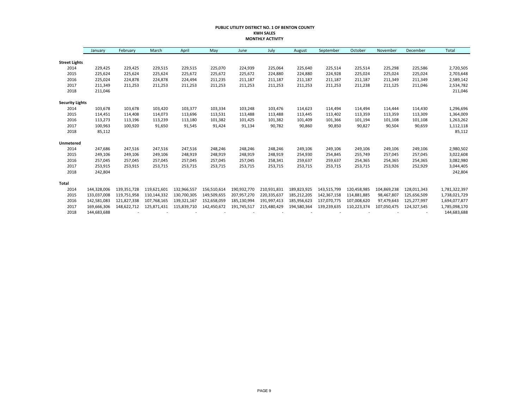#### **PUBLIC UTILITY DISTRICT NO. 1 OF BENTON COUNTY KWH SALES MONTHLY ACTIVITY**

|                        | January     | February    | March       | April       | May         | June        | July        | August      | September   | October     | November    | December    | Total         |
|------------------------|-------------|-------------|-------------|-------------|-------------|-------------|-------------|-------------|-------------|-------------|-------------|-------------|---------------|
|                        |             |             |             |             |             |             |             |             |             |             |             |             |               |
| <b>Street Lights</b>   |             |             |             |             |             |             |             |             |             |             |             |             |               |
| 2014                   | 229,425     | 229,425     | 229,515     | 229,515     | 225,070     | 224,939     | 225,064     | 225,640     | 225,514     | 225,514     | 225,298     | 225,586     | 2,720,505     |
| 2015                   | 225,624     | 225,624     | 225,624     | 225,672     | 225,672     | 225,672     | 224,880     | 224,880     | 224,928     | 225,024     | 225,024     | 225,024     | 2,703,648     |
| 2016                   | 225,024     | 224,878     | 224,878     | 224,494     | 211,235     | 211,187     | 211,187     | 211,187     | 211,187     | 211,187     | 211,349     | 211,349     | 2,589,142     |
| 2017                   | 211,349     | 211,253     | 211,253     | 211,253     | 211,253     | 211,253     | 211,253     | 211,253     | 211,253     | 211,238     | 211,125     | 211,046     | 2,534,782     |
| 2018                   | 211,046     |             |             |             |             |             |             |             |             |             |             |             | 211,046       |
| <b>Security Lights</b> |             |             |             |             |             |             |             |             |             |             |             |             |               |
| 2014                   | 103,678     | 103,678     | 103,420     | 103,377     | 103,334     | 103,248     | 103,476     | 114,623     | 114,494     | 114,494     | 114,444     | 114,430     | 1,296,696     |
| 2015                   | 114,451     | 114,408     | 114,073     | 113,696     | 113,531     | 113,488     | 113,488     | 113,445     | 113,402     | 113,359     | 113,359     | 113,309     | 1,364,009     |
| 2016                   | 113,273     | 113,196     | 113,239     | 113,180     | 101,382     | 101,425     | 101,382     | 101,409     | 101,366     | 101,194     | 101,108     | 101,108     | 1,263,262     |
| 2017                   | 100,963     | 100,920     | 91,650      | 91,545      | 91,424      | 91,134      | 90,782      | 90,860      | 90,850      | 90,827      | 90,504      | 90,659      | 1,112,118     |
| 2018                   | 85,112      |             |             |             |             |             |             |             |             |             |             |             | 85,112        |
| Unmetered              |             |             |             |             |             |             |             |             |             |             |             |             |               |
| 2014                   | 247,686     | 247,516     | 247,516     | 247,516     | 248,246     | 248,246     | 248,246     | 249,106     | 249,106     | 249,106     | 249,106     | 249,106     | 2,980,502     |
| 2015                   | 249,106     | 249,106     | 249,106     | 248,919     | 248,919     | 248,919     | 248,919     | 254,930     | 254,845     | 255,749     | 257,045     | 257,045     | 3,022,608     |
| 2016                   | 257,045     | 257,045     | 257,045     | 257,045     | 257,045     | 257,045     | 258,341     | 259,637     | 259,637     | 254,365     | 254,365     | 254,365     | 3,082,980     |
| 2017                   | 253,915     | 253,915     | 253,715     | 253,715     | 253,715     | 253,715     | 253,715     | 253,715     | 253,715     | 253,715     | 253,926     | 252,929     | 3,044,405     |
| 2018                   | 242,804     |             |             |             |             |             |             |             |             |             |             |             | 242,804       |
| Total                  |             |             |             |             |             |             |             |             |             |             |             |             |               |
| 2014                   | 144,328,006 | 139,351,728 | 119,621,601 | 132,966,557 | 156,510,614 | 190,932,770 | 210,931,831 | 189,823,925 | 143,515,799 | 120,458,985 | 104,869,238 | 128,011,343 | 1,781,322,397 |
| 2015                   | 133,037,008 | 119,751,958 | 110,144,332 | 130,700,305 | 149,509,655 | 207,957,270 | 220,335,637 | 185,212,205 | 142,367,158 | 114,881,885 | 98,467,807  | 125,656,509 | 1,738,021,729 |
| 2016                   | 142,581,083 | 121,827,338 | 107,768,165 | 139,321,167 | 152,658,059 | 185,130,994 | 191,997,413 | 185,956,623 | 137,070,775 | 107,008,620 | 97,479,643  | 125,277,997 | 1,694,077,877 |
| 2017                   | 169,666,306 | 148,622,712 | 125,871,431 | 115,839,710 | 142,450,672 | 191,745,517 | 215,480,429 | 194,580,364 | 139,239,635 | 110,223,374 | 107,050,475 | 124,327,545 | 1,785,098,170 |
| 2018                   | 144,683,688 |             |             |             |             |             |             |             |             |             |             |             | 144,683,688   |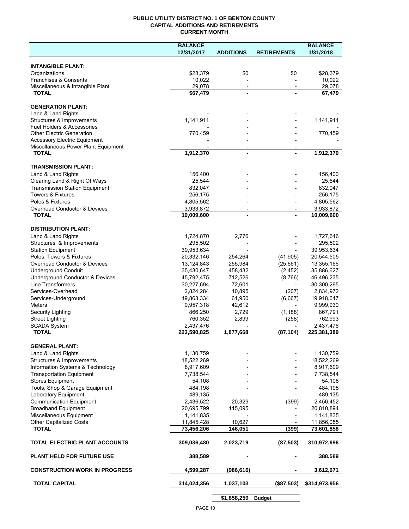#### **PUBLIC UTILITY DISTRICT NO. 1 OF BENTON COUNTY CAPITAL ADDITIONS AND RETIREMENTS CURRENT MONTH**

| 12/31/2017<br><b>ADDITIONS</b><br>1/31/2018<br><b>RETIREMENTS</b><br><b>INTANGIBLE PLANT:</b><br>Organizations<br>\$28,379<br>\$0<br>\$0<br>\$28,379<br>Franchises & Consents<br>10,022<br>10,022<br>Miscellaneous & Intangible Plant<br>29,078<br>29,078<br>$\overline{\phantom{a}}$<br>$\overline{\phantom{a}}$<br><b>TOTAL</b><br>\$67,479<br>67,479<br>$\blacksquare$<br><b>GENERATION PLANT:</b><br>1,141,911<br>1,141,911<br>770,459<br>770,459<br><b>Accessory Electric Equipment</b><br>Miscellaneous Power Plant Equipment<br>$\overline{\phantom{a}}$<br><b>TOTAL</b><br>1,912,370<br>1,912,370<br>$\blacksquare$<br><b>TRANSMISSION PLANT:</b><br>Land & Land Rights<br>156,400<br>156,400<br>Clearing Land & Right Of Ways<br>25,544<br>25,544<br><b>Transmission Station Equipment</b><br>832,047<br>832,047<br><b>Towers &amp; Fixtures</b><br>256,175<br>256,175<br>Poles & Fixtures<br>4,805,562<br>4,805,562<br>Overhead Conductor & Devices<br>3,933,872<br>3,933,872<br>10,009,600<br>10,009,600<br><b>TOTAL</b><br>1,724,870<br>2,776<br>1,727,646<br>295,502<br>295,502<br>39,953,634<br>39,953,634<br>20,332,146<br>254,264<br>(41, 905)<br>20,544,505<br>13,124,843<br>255,984<br>(25,661)<br>13,355,166<br>35,430,647<br>458,432<br>(2, 452)<br>35,886,627<br>45,792,475<br>712,526<br>(8,766)<br>46,496,235<br>Line Transformers<br>30,227,694<br>72,601<br>30,300,295<br>Services-Overhead<br>2,824,284<br>10,895<br>(207)<br>2,834,972<br>Services-Underground<br>19,863,334<br>61,950<br>(6,667)<br>19,918,617<br><b>Meters</b><br>9,957,318<br>42,612<br>9,999,930<br>$\overline{\phantom{a}}$<br>Security Lighting<br>866,250<br>2,729<br>(1, 188)<br>867,791<br>760,352<br>2,899<br>762,993<br><b>Street Lighting</b><br>(258)<br><b>SCADA System</b><br>2,437,476<br>2,437,476<br>223,590,825<br>1,877,668<br>225,381,389<br><b>TOTAL</b><br>(87, 104)<br><b>GENERAL PLANT:</b><br>Land & Land Rights<br>1,130,759<br>1,130,759<br>Structures & Improvements<br>18,522,269<br>18,522,269<br>Information Systems & Technology<br>8,917,609<br>8,917,609<br><b>Transportation Equipment</b><br>7,738,544<br>7,738,544<br><b>Stores Equipment</b><br>54,108<br>54,108<br>Tools, Shop & Garage Equipment<br>484,198<br>484,198<br>Laboratory Equipment<br>489,135<br>489,135<br><b>Communication Equipment</b><br>2,436,522<br>20,329<br>(399)<br>2,456,452<br>20,695,799<br>115,095<br>20,810,894<br>1,141,835<br>1,141,835<br>11,845,428<br>10,627<br>11,856,055<br>73,456,206<br><b>TOTAL</b><br>146,051<br>(399)<br>73,601,858<br>TOTAL ELECTRIC PLANT ACCOUNTS<br>309,036,480<br>2,023,719<br>(87, 503)<br>310,972,696<br><b>PLANT HELD FOR FUTURE USE</b><br>388,589<br>388,589<br><b>CONSTRUCTION WORK IN PROGRESS</b><br>4,599,287<br>(986, 616)<br>3,612,671<br><b>TOTAL CAPITAL</b><br>1,037,103<br>314,024,356<br>(\$87,503)<br>\$314,973,956 |                                  | <b>BALANCE</b> |  | <b>BALANCE</b> |
|--------------------------------------------------------------------------------------------------------------------------------------------------------------------------------------------------------------------------------------------------------------------------------------------------------------------------------------------------------------------------------------------------------------------------------------------------------------------------------------------------------------------------------------------------------------------------------------------------------------------------------------------------------------------------------------------------------------------------------------------------------------------------------------------------------------------------------------------------------------------------------------------------------------------------------------------------------------------------------------------------------------------------------------------------------------------------------------------------------------------------------------------------------------------------------------------------------------------------------------------------------------------------------------------------------------------------------------------------------------------------------------------------------------------------------------------------------------------------------------------------------------------------------------------------------------------------------------------------------------------------------------------------------------------------------------------------------------------------------------------------------------------------------------------------------------------------------------------------------------------------------------------------------------------------------------------------------------------------------------------------------------------------------------------------------------------------------------------------------------------------------------------------------------------------------------------------------------------------------------------------------------------------------------------------------------------------------------------------------------------------------------------------------------------------------------------------------------------------------------------------------------------------------------------------------------------------------------------------------------------------------------------------------------------------------------------------------------------------------------------------------------------------------------------------------------------------------------------------------------------------------------|----------------------------------|----------------|--|----------------|
|                                                                                                                                                                                                                                                                                                                                                                                                                                                                                                                                                                                                                                                                                                                                                                                                                                                                                                                                                                                                                                                                                                                                                                                                                                                                                                                                                                                                                                                                                                                                                                                                                                                                                                                                                                                                                                                                                                                                                                                                                                                                                                                                                                                                                                                                                                                                                                                                                                                                                                                                                                                                                                                                                                                                                                                                                                                                                      |                                  |                |  |                |
|                                                                                                                                                                                                                                                                                                                                                                                                                                                                                                                                                                                                                                                                                                                                                                                                                                                                                                                                                                                                                                                                                                                                                                                                                                                                                                                                                                                                                                                                                                                                                                                                                                                                                                                                                                                                                                                                                                                                                                                                                                                                                                                                                                                                                                                                                                                                                                                                                                                                                                                                                                                                                                                                                                                                                                                                                                                                                      |                                  |                |  |                |
|                                                                                                                                                                                                                                                                                                                                                                                                                                                                                                                                                                                                                                                                                                                                                                                                                                                                                                                                                                                                                                                                                                                                                                                                                                                                                                                                                                                                                                                                                                                                                                                                                                                                                                                                                                                                                                                                                                                                                                                                                                                                                                                                                                                                                                                                                                                                                                                                                                                                                                                                                                                                                                                                                                                                                                                                                                                                                      |                                  |                |  |                |
|                                                                                                                                                                                                                                                                                                                                                                                                                                                                                                                                                                                                                                                                                                                                                                                                                                                                                                                                                                                                                                                                                                                                                                                                                                                                                                                                                                                                                                                                                                                                                                                                                                                                                                                                                                                                                                                                                                                                                                                                                                                                                                                                                                                                                                                                                                                                                                                                                                                                                                                                                                                                                                                                                                                                                                                                                                                                                      |                                  |                |  |                |
|                                                                                                                                                                                                                                                                                                                                                                                                                                                                                                                                                                                                                                                                                                                                                                                                                                                                                                                                                                                                                                                                                                                                                                                                                                                                                                                                                                                                                                                                                                                                                                                                                                                                                                                                                                                                                                                                                                                                                                                                                                                                                                                                                                                                                                                                                                                                                                                                                                                                                                                                                                                                                                                                                                                                                                                                                                                                                      |                                  |                |  |                |
|                                                                                                                                                                                                                                                                                                                                                                                                                                                                                                                                                                                                                                                                                                                                                                                                                                                                                                                                                                                                                                                                                                                                                                                                                                                                                                                                                                                                                                                                                                                                                                                                                                                                                                                                                                                                                                                                                                                                                                                                                                                                                                                                                                                                                                                                                                                                                                                                                                                                                                                                                                                                                                                                                                                                                                                                                                                                                      |                                  |                |  |                |
|                                                                                                                                                                                                                                                                                                                                                                                                                                                                                                                                                                                                                                                                                                                                                                                                                                                                                                                                                                                                                                                                                                                                                                                                                                                                                                                                                                                                                                                                                                                                                                                                                                                                                                                                                                                                                                                                                                                                                                                                                                                                                                                                                                                                                                                                                                                                                                                                                                                                                                                                                                                                                                                                                                                                                                                                                                                                                      |                                  |                |  |                |
|                                                                                                                                                                                                                                                                                                                                                                                                                                                                                                                                                                                                                                                                                                                                                                                                                                                                                                                                                                                                                                                                                                                                                                                                                                                                                                                                                                                                                                                                                                                                                                                                                                                                                                                                                                                                                                                                                                                                                                                                                                                                                                                                                                                                                                                                                                                                                                                                                                                                                                                                                                                                                                                                                                                                                                                                                                                                                      |                                  |                |  |                |
|                                                                                                                                                                                                                                                                                                                                                                                                                                                                                                                                                                                                                                                                                                                                                                                                                                                                                                                                                                                                                                                                                                                                                                                                                                                                                                                                                                                                                                                                                                                                                                                                                                                                                                                                                                                                                                                                                                                                                                                                                                                                                                                                                                                                                                                                                                                                                                                                                                                                                                                                                                                                                                                                                                                                                                                                                                                                                      | Land & Land Rights               |                |  |                |
|                                                                                                                                                                                                                                                                                                                                                                                                                                                                                                                                                                                                                                                                                                                                                                                                                                                                                                                                                                                                                                                                                                                                                                                                                                                                                                                                                                                                                                                                                                                                                                                                                                                                                                                                                                                                                                                                                                                                                                                                                                                                                                                                                                                                                                                                                                                                                                                                                                                                                                                                                                                                                                                                                                                                                                                                                                                                                      | Structures & Improvements        |                |  |                |
|                                                                                                                                                                                                                                                                                                                                                                                                                                                                                                                                                                                                                                                                                                                                                                                                                                                                                                                                                                                                                                                                                                                                                                                                                                                                                                                                                                                                                                                                                                                                                                                                                                                                                                                                                                                                                                                                                                                                                                                                                                                                                                                                                                                                                                                                                                                                                                                                                                                                                                                                                                                                                                                                                                                                                                                                                                                                                      | Fuel Holders & Accessories       |                |  |                |
|                                                                                                                                                                                                                                                                                                                                                                                                                                                                                                                                                                                                                                                                                                                                                                                                                                                                                                                                                                                                                                                                                                                                                                                                                                                                                                                                                                                                                                                                                                                                                                                                                                                                                                                                                                                                                                                                                                                                                                                                                                                                                                                                                                                                                                                                                                                                                                                                                                                                                                                                                                                                                                                                                                                                                                                                                                                                                      | <b>Other Electric Generation</b> |                |  |                |
|                                                                                                                                                                                                                                                                                                                                                                                                                                                                                                                                                                                                                                                                                                                                                                                                                                                                                                                                                                                                                                                                                                                                                                                                                                                                                                                                                                                                                                                                                                                                                                                                                                                                                                                                                                                                                                                                                                                                                                                                                                                                                                                                                                                                                                                                                                                                                                                                                                                                                                                                                                                                                                                                                                                                                                                                                                                                                      |                                  |                |  |                |
|                                                                                                                                                                                                                                                                                                                                                                                                                                                                                                                                                                                                                                                                                                                                                                                                                                                                                                                                                                                                                                                                                                                                                                                                                                                                                                                                                                                                                                                                                                                                                                                                                                                                                                                                                                                                                                                                                                                                                                                                                                                                                                                                                                                                                                                                                                                                                                                                                                                                                                                                                                                                                                                                                                                                                                                                                                                                                      |                                  |                |  |                |
|                                                                                                                                                                                                                                                                                                                                                                                                                                                                                                                                                                                                                                                                                                                                                                                                                                                                                                                                                                                                                                                                                                                                                                                                                                                                                                                                                                                                                                                                                                                                                                                                                                                                                                                                                                                                                                                                                                                                                                                                                                                                                                                                                                                                                                                                                                                                                                                                                                                                                                                                                                                                                                                                                                                                                                                                                                                                                      |                                  |                |  |                |
|                                                                                                                                                                                                                                                                                                                                                                                                                                                                                                                                                                                                                                                                                                                                                                                                                                                                                                                                                                                                                                                                                                                                                                                                                                                                                                                                                                                                                                                                                                                                                                                                                                                                                                                                                                                                                                                                                                                                                                                                                                                                                                                                                                                                                                                                                                                                                                                                                                                                                                                                                                                                                                                                                                                                                                                                                                                                                      |                                  |                |  |                |
|                                                                                                                                                                                                                                                                                                                                                                                                                                                                                                                                                                                                                                                                                                                                                                                                                                                                                                                                                                                                                                                                                                                                                                                                                                                                                                                                                                                                                                                                                                                                                                                                                                                                                                                                                                                                                                                                                                                                                                                                                                                                                                                                                                                                                                                                                                                                                                                                                                                                                                                                                                                                                                                                                                                                                                                                                                                                                      |                                  |                |  |                |
|                                                                                                                                                                                                                                                                                                                                                                                                                                                                                                                                                                                                                                                                                                                                                                                                                                                                                                                                                                                                                                                                                                                                                                                                                                                                                                                                                                                                                                                                                                                                                                                                                                                                                                                                                                                                                                                                                                                                                                                                                                                                                                                                                                                                                                                                                                                                                                                                                                                                                                                                                                                                                                                                                                                                                                                                                                                                                      |                                  |                |  |                |
|                                                                                                                                                                                                                                                                                                                                                                                                                                                                                                                                                                                                                                                                                                                                                                                                                                                                                                                                                                                                                                                                                                                                                                                                                                                                                                                                                                                                                                                                                                                                                                                                                                                                                                                                                                                                                                                                                                                                                                                                                                                                                                                                                                                                                                                                                                                                                                                                                                                                                                                                                                                                                                                                                                                                                                                                                                                                                      |                                  |                |  |                |
|                                                                                                                                                                                                                                                                                                                                                                                                                                                                                                                                                                                                                                                                                                                                                                                                                                                                                                                                                                                                                                                                                                                                                                                                                                                                                                                                                                                                                                                                                                                                                                                                                                                                                                                                                                                                                                                                                                                                                                                                                                                                                                                                                                                                                                                                                                                                                                                                                                                                                                                                                                                                                                                                                                                                                                                                                                                                                      |                                  |                |  |                |
|                                                                                                                                                                                                                                                                                                                                                                                                                                                                                                                                                                                                                                                                                                                                                                                                                                                                                                                                                                                                                                                                                                                                                                                                                                                                                                                                                                                                                                                                                                                                                                                                                                                                                                                                                                                                                                                                                                                                                                                                                                                                                                                                                                                                                                                                                                                                                                                                                                                                                                                                                                                                                                                                                                                                                                                                                                                                                      |                                  |                |  |                |
|                                                                                                                                                                                                                                                                                                                                                                                                                                                                                                                                                                                                                                                                                                                                                                                                                                                                                                                                                                                                                                                                                                                                                                                                                                                                                                                                                                                                                                                                                                                                                                                                                                                                                                                                                                                                                                                                                                                                                                                                                                                                                                                                                                                                                                                                                                                                                                                                                                                                                                                                                                                                                                                                                                                                                                                                                                                                                      |                                  |                |  |                |
|                                                                                                                                                                                                                                                                                                                                                                                                                                                                                                                                                                                                                                                                                                                                                                                                                                                                                                                                                                                                                                                                                                                                                                                                                                                                                                                                                                                                                                                                                                                                                                                                                                                                                                                                                                                                                                                                                                                                                                                                                                                                                                                                                                                                                                                                                                                                                                                                                                                                                                                                                                                                                                                                                                                                                                                                                                                                                      |                                  |                |  |                |
|                                                                                                                                                                                                                                                                                                                                                                                                                                                                                                                                                                                                                                                                                                                                                                                                                                                                                                                                                                                                                                                                                                                                                                                                                                                                                                                                                                                                                                                                                                                                                                                                                                                                                                                                                                                                                                                                                                                                                                                                                                                                                                                                                                                                                                                                                                                                                                                                                                                                                                                                                                                                                                                                                                                                                                                                                                                                                      |                                  |                |  |                |
|                                                                                                                                                                                                                                                                                                                                                                                                                                                                                                                                                                                                                                                                                                                                                                                                                                                                                                                                                                                                                                                                                                                                                                                                                                                                                                                                                                                                                                                                                                                                                                                                                                                                                                                                                                                                                                                                                                                                                                                                                                                                                                                                                                                                                                                                                                                                                                                                                                                                                                                                                                                                                                                                                                                                                                                                                                                                                      | <b>DISTRIBUTION PLANT:</b>       |                |  |                |
|                                                                                                                                                                                                                                                                                                                                                                                                                                                                                                                                                                                                                                                                                                                                                                                                                                                                                                                                                                                                                                                                                                                                                                                                                                                                                                                                                                                                                                                                                                                                                                                                                                                                                                                                                                                                                                                                                                                                                                                                                                                                                                                                                                                                                                                                                                                                                                                                                                                                                                                                                                                                                                                                                                                                                                                                                                                                                      | Land & Land Rights               |                |  |                |
|                                                                                                                                                                                                                                                                                                                                                                                                                                                                                                                                                                                                                                                                                                                                                                                                                                                                                                                                                                                                                                                                                                                                                                                                                                                                                                                                                                                                                                                                                                                                                                                                                                                                                                                                                                                                                                                                                                                                                                                                                                                                                                                                                                                                                                                                                                                                                                                                                                                                                                                                                                                                                                                                                                                                                                                                                                                                                      | Structures & Improvements        |                |  |                |
|                                                                                                                                                                                                                                                                                                                                                                                                                                                                                                                                                                                                                                                                                                                                                                                                                                                                                                                                                                                                                                                                                                                                                                                                                                                                                                                                                                                                                                                                                                                                                                                                                                                                                                                                                                                                                                                                                                                                                                                                                                                                                                                                                                                                                                                                                                                                                                                                                                                                                                                                                                                                                                                                                                                                                                                                                                                                                      | <b>Station Equipment</b>         |                |  |                |
|                                                                                                                                                                                                                                                                                                                                                                                                                                                                                                                                                                                                                                                                                                                                                                                                                                                                                                                                                                                                                                                                                                                                                                                                                                                                                                                                                                                                                                                                                                                                                                                                                                                                                                                                                                                                                                                                                                                                                                                                                                                                                                                                                                                                                                                                                                                                                                                                                                                                                                                                                                                                                                                                                                                                                                                                                                                                                      | Poles, Towers & Fixtures         |                |  |                |
|                                                                                                                                                                                                                                                                                                                                                                                                                                                                                                                                                                                                                                                                                                                                                                                                                                                                                                                                                                                                                                                                                                                                                                                                                                                                                                                                                                                                                                                                                                                                                                                                                                                                                                                                                                                                                                                                                                                                                                                                                                                                                                                                                                                                                                                                                                                                                                                                                                                                                                                                                                                                                                                                                                                                                                                                                                                                                      | Overhead Conductor & Devices     |                |  |                |
|                                                                                                                                                                                                                                                                                                                                                                                                                                                                                                                                                                                                                                                                                                                                                                                                                                                                                                                                                                                                                                                                                                                                                                                                                                                                                                                                                                                                                                                                                                                                                                                                                                                                                                                                                                                                                                                                                                                                                                                                                                                                                                                                                                                                                                                                                                                                                                                                                                                                                                                                                                                                                                                                                                                                                                                                                                                                                      | <b>Underground Conduit</b>       |                |  |                |
|                                                                                                                                                                                                                                                                                                                                                                                                                                                                                                                                                                                                                                                                                                                                                                                                                                                                                                                                                                                                                                                                                                                                                                                                                                                                                                                                                                                                                                                                                                                                                                                                                                                                                                                                                                                                                                                                                                                                                                                                                                                                                                                                                                                                                                                                                                                                                                                                                                                                                                                                                                                                                                                                                                                                                                                                                                                                                      | Underground Conductor & Devices  |                |  |                |
|                                                                                                                                                                                                                                                                                                                                                                                                                                                                                                                                                                                                                                                                                                                                                                                                                                                                                                                                                                                                                                                                                                                                                                                                                                                                                                                                                                                                                                                                                                                                                                                                                                                                                                                                                                                                                                                                                                                                                                                                                                                                                                                                                                                                                                                                                                                                                                                                                                                                                                                                                                                                                                                                                                                                                                                                                                                                                      |                                  |                |  |                |
|                                                                                                                                                                                                                                                                                                                                                                                                                                                                                                                                                                                                                                                                                                                                                                                                                                                                                                                                                                                                                                                                                                                                                                                                                                                                                                                                                                                                                                                                                                                                                                                                                                                                                                                                                                                                                                                                                                                                                                                                                                                                                                                                                                                                                                                                                                                                                                                                                                                                                                                                                                                                                                                                                                                                                                                                                                                                                      |                                  |                |  |                |
|                                                                                                                                                                                                                                                                                                                                                                                                                                                                                                                                                                                                                                                                                                                                                                                                                                                                                                                                                                                                                                                                                                                                                                                                                                                                                                                                                                                                                                                                                                                                                                                                                                                                                                                                                                                                                                                                                                                                                                                                                                                                                                                                                                                                                                                                                                                                                                                                                                                                                                                                                                                                                                                                                                                                                                                                                                                                                      |                                  |                |  |                |
|                                                                                                                                                                                                                                                                                                                                                                                                                                                                                                                                                                                                                                                                                                                                                                                                                                                                                                                                                                                                                                                                                                                                                                                                                                                                                                                                                                                                                                                                                                                                                                                                                                                                                                                                                                                                                                                                                                                                                                                                                                                                                                                                                                                                                                                                                                                                                                                                                                                                                                                                                                                                                                                                                                                                                                                                                                                                                      |                                  |                |  |                |
|                                                                                                                                                                                                                                                                                                                                                                                                                                                                                                                                                                                                                                                                                                                                                                                                                                                                                                                                                                                                                                                                                                                                                                                                                                                                                                                                                                                                                                                                                                                                                                                                                                                                                                                                                                                                                                                                                                                                                                                                                                                                                                                                                                                                                                                                                                                                                                                                                                                                                                                                                                                                                                                                                                                                                                                                                                                                                      |                                  |                |  |                |
|                                                                                                                                                                                                                                                                                                                                                                                                                                                                                                                                                                                                                                                                                                                                                                                                                                                                                                                                                                                                                                                                                                                                                                                                                                                                                                                                                                                                                                                                                                                                                                                                                                                                                                                                                                                                                                                                                                                                                                                                                                                                                                                                                                                                                                                                                                                                                                                                                                                                                                                                                                                                                                                                                                                                                                                                                                                                                      |                                  |                |  |                |
|                                                                                                                                                                                                                                                                                                                                                                                                                                                                                                                                                                                                                                                                                                                                                                                                                                                                                                                                                                                                                                                                                                                                                                                                                                                                                                                                                                                                                                                                                                                                                                                                                                                                                                                                                                                                                                                                                                                                                                                                                                                                                                                                                                                                                                                                                                                                                                                                                                                                                                                                                                                                                                                                                                                                                                                                                                                                                      |                                  |                |  |                |
|                                                                                                                                                                                                                                                                                                                                                                                                                                                                                                                                                                                                                                                                                                                                                                                                                                                                                                                                                                                                                                                                                                                                                                                                                                                                                                                                                                                                                                                                                                                                                                                                                                                                                                                                                                                                                                                                                                                                                                                                                                                                                                                                                                                                                                                                                                                                                                                                                                                                                                                                                                                                                                                                                                                                                                                                                                                                                      |                                  |                |  |                |
|                                                                                                                                                                                                                                                                                                                                                                                                                                                                                                                                                                                                                                                                                                                                                                                                                                                                                                                                                                                                                                                                                                                                                                                                                                                                                                                                                                                                                                                                                                                                                                                                                                                                                                                                                                                                                                                                                                                                                                                                                                                                                                                                                                                                                                                                                                                                                                                                                                                                                                                                                                                                                                                                                                                                                                                                                                                                                      |                                  |                |  |                |
|                                                                                                                                                                                                                                                                                                                                                                                                                                                                                                                                                                                                                                                                                                                                                                                                                                                                                                                                                                                                                                                                                                                                                                                                                                                                                                                                                                                                                                                                                                                                                                                                                                                                                                                                                                                                                                                                                                                                                                                                                                                                                                                                                                                                                                                                                                                                                                                                                                                                                                                                                                                                                                                                                                                                                                                                                                                                                      |                                  |                |  |                |
|                                                                                                                                                                                                                                                                                                                                                                                                                                                                                                                                                                                                                                                                                                                                                                                                                                                                                                                                                                                                                                                                                                                                                                                                                                                                                                                                                                                                                                                                                                                                                                                                                                                                                                                                                                                                                                                                                                                                                                                                                                                                                                                                                                                                                                                                                                                                                                                                                                                                                                                                                                                                                                                                                                                                                                                                                                                                                      |                                  |                |  |                |
|                                                                                                                                                                                                                                                                                                                                                                                                                                                                                                                                                                                                                                                                                                                                                                                                                                                                                                                                                                                                                                                                                                                                                                                                                                                                                                                                                                                                                                                                                                                                                                                                                                                                                                                                                                                                                                                                                                                                                                                                                                                                                                                                                                                                                                                                                                                                                                                                                                                                                                                                                                                                                                                                                                                                                                                                                                                                                      |                                  |                |  |                |
|                                                                                                                                                                                                                                                                                                                                                                                                                                                                                                                                                                                                                                                                                                                                                                                                                                                                                                                                                                                                                                                                                                                                                                                                                                                                                                                                                                                                                                                                                                                                                                                                                                                                                                                                                                                                                                                                                                                                                                                                                                                                                                                                                                                                                                                                                                                                                                                                                                                                                                                                                                                                                                                                                                                                                                                                                                                                                      |                                  |                |  |                |
|                                                                                                                                                                                                                                                                                                                                                                                                                                                                                                                                                                                                                                                                                                                                                                                                                                                                                                                                                                                                                                                                                                                                                                                                                                                                                                                                                                                                                                                                                                                                                                                                                                                                                                                                                                                                                                                                                                                                                                                                                                                                                                                                                                                                                                                                                                                                                                                                                                                                                                                                                                                                                                                                                                                                                                                                                                                                                      |                                  |                |  |                |
|                                                                                                                                                                                                                                                                                                                                                                                                                                                                                                                                                                                                                                                                                                                                                                                                                                                                                                                                                                                                                                                                                                                                                                                                                                                                                                                                                                                                                                                                                                                                                                                                                                                                                                                                                                                                                                                                                                                                                                                                                                                                                                                                                                                                                                                                                                                                                                                                                                                                                                                                                                                                                                                                                                                                                                                                                                                                                      |                                  |                |  |                |
|                                                                                                                                                                                                                                                                                                                                                                                                                                                                                                                                                                                                                                                                                                                                                                                                                                                                                                                                                                                                                                                                                                                                                                                                                                                                                                                                                                                                                                                                                                                                                                                                                                                                                                                                                                                                                                                                                                                                                                                                                                                                                                                                                                                                                                                                                                                                                                                                                                                                                                                                                                                                                                                                                                                                                                                                                                                                                      |                                  |                |  |                |
|                                                                                                                                                                                                                                                                                                                                                                                                                                                                                                                                                                                                                                                                                                                                                                                                                                                                                                                                                                                                                                                                                                                                                                                                                                                                                                                                                                                                                                                                                                                                                                                                                                                                                                                                                                                                                                                                                                                                                                                                                                                                                                                                                                                                                                                                                                                                                                                                                                                                                                                                                                                                                                                                                                                                                                                                                                                                                      |                                  |                |  |                |
|                                                                                                                                                                                                                                                                                                                                                                                                                                                                                                                                                                                                                                                                                                                                                                                                                                                                                                                                                                                                                                                                                                                                                                                                                                                                                                                                                                                                                                                                                                                                                                                                                                                                                                                                                                                                                                                                                                                                                                                                                                                                                                                                                                                                                                                                                                                                                                                                                                                                                                                                                                                                                                                                                                                                                                                                                                                                                      | <b>Broadband Equipment</b>       |                |  |                |
|                                                                                                                                                                                                                                                                                                                                                                                                                                                                                                                                                                                                                                                                                                                                                                                                                                                                                                                                                                                                                                                                                                                                                                                                                                                                                                                                                                                                                                                                                                                                                                                                                                                                                                                                                                                                                                                                                                                                                                                                                                                                                                                                                                                                                                                                                                                                                                                                                                                                                                                                                                                                                                                                                                                                                                                                                                                                                      | Miscellaneous Equipment          |                |  |                |
|                                                                                                                                                                                                                                                                                                                                                                                                                                                                                                                                                                                                                                                                                                                                                                                                                                                                                                                                                                                                                                                                                                                                                                                                                                                                                                                                                                                                                                                                                                                                                                                                                                                                                                                                                                                                                                                                                                                                                                                                                                                                                                                                                                                                                                                                                                                                                                                                                                                                                                                                                                                                                                                                                                                                                                                                                                                                                      | <b>Other Capitalized Costs</b>   |                |  |                |
|                                                                                                                                                                                                                                                                                                                                                                                                                                                                                                                                                                                                                                                                                                                                                                                                                                                                                                                                                                                                                                                                                                                                                                                                                                                                                                                                                                                                                                                                                                                                                                                                                                                                                                                                                                                                                                                                                                                                                                                                                                                                                                                                                                                                                                                                                                                                                                                                                                                                                                                                                                                                                                                                                                                                                                                                                                                                                      |                                  |                |  |                |
|                                                                                                                                                                                                                                                                                                                                                                                                                                                                                                                                                                                                                                                                                                                                                                                                                                                                                                                                                                                                                                                                                                                                                                                                                                                                                                                                                                                                                                                                                                                                                                                                                                                                                                                                                                                                                                                                                                                                                                                                                                                                                                                                                                                                                                                                                                                                                                                                                                                                                                                                                                                                                                                                                                                                                                                                                                                                                      |                                  |                |  |                |
|                                                                                                                                                                                                                                                                                                                                                                                                                                                                                                                                                                                                                                                                                                                                                                                                                                                                                                                                                                                                                                                                                                                                                                                                                                                                                                                                                                                                                                                                                                                                                                                                                                                                                                                                                                                                                                                                                                                                                                                                                                                                                                                                                                                                                                                                                                                                                                                                                                                                                                                                                                                                                                                                                                                                                                                                                                                                                      |                                  |                |  |                |
|                                                                                                                                                                                                                                                                                                                                                                                                                                                                                                                                                                                                                                                                                                                                                                                                                                                                                                                                                                                                                                                                                                                                                                                                                                                                                                                                                                                                                                                                                                                                                                                                                                                                                                                                                                                                                                                                                                                                                                                                                                                                                                                                                                                                                                                                                                                                                                                                                                                                                                                                                                                                                                                                                                                                                                                                                                                                                      |                                  |                |  |                |
|                                                                                                                                                                                                                                                                                                                                                                                                                                                                                                                                                                                                                                                                                                                                                                                                                                                                                                                                                                                                                                                                                                                                                                                                                                                                                                                                                                                                                                                                                                                                                                                                                                                                                                                                                                                                                                                                                                                                                                                                                                                                                                                                                                                                                                                                                                                                                                                                                                                                                                                                                                                                                                                                                                                                                                                                                                                                                      |                                  |                |  |                |
|                                                                                                                                                                                                                                                                                                                                                                                                                                                                                                                                                                                                                                                                                                                                                                                                                                                                                                                                                                                                                                                                                                                                                                                                                                                                                                                                                                                                                                                                                                                                                                                                                                                                                                                                                                                                                                                                                                                                                                                                                                                                                                                                                                                                                                                                                                                                                                                                                                                                                                                                                                                                                                                                                                                                                                                                                                                                                      |                                  |                |  |                |

**\$1,858,259 Budget**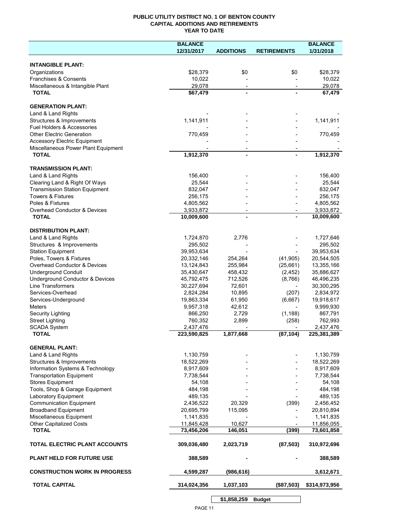#### **PUBLIC UTILITY DISTRICT NO. 1 OF BENTON COUNTY CAPITAL ADDITIONS AND RETIREMENTS YEAR TO DATE**

|                                                     | <b>BALANCE</b> |                          |                    | <b>BALANCE</b> |
|-----------------------------------------------------|----------------|--------------------------|--------------------|----------------|
|                                                     | 12/31/2017     | <b>ADDITIONS</b>         | <b>RETIREMENTS</b> | 1/31/2018      |
|                                                     |                |                          |                    |                |
| <b>INTANGIBLE PLANT:</b>                            |                |                          |                    |                |
| Organizations                                       | \$28,379       | \$0                      | \$0                | \$28,379       |
| Franchises & Consents                               | 10,022         |                          |                    | 10,022         |
| Miscellaneous & Intangible Plant                    | 29,078         | $\overline{\phantom{a}}$ |                    | 29.078         |
| <b>TOTAL</b>                                        | \$67,479       |                          |                    | 67,479         |
|                                                     |                |                          |                    |                |
| <b>GENERATION PLANT:</b>                            |                |                          |                    |                |
| Land & Land Rights                                  |                |                          |                    |                |
| Structures & Improvements                           | 1,141,911      |                          |                    | 1,141,911      |
| Fuel Holders & Accessories                          |                |                          |                    |                |
| <b>Other Electric Generation</b>                    | 770,459        |                          |                    | 770,459        |
| <b>Accessory Electric Equipment</b>                 |                |                          |                    |                |
| Miscellaneous Power Plant Equipment<br><b>TOTAL</b> | 1,912,370      |                          |                    | 1,912,370      |
|                                                     |                |                          |                    |                |
| <b>TRANSMISSION PLANT:</b>                          |                |                          |                    |                |
| Land & Land Rights                                  | 156,400        |                          |                    | 156,400        |
| Clearing Land & Right Of Ways                       | 25,544         |                          |                    | 25,544         |
| <b>Transmission Station Equipment</b>               | 832,047        |                          |                    | 832,047        |
| Towers & Fixtures                                   | 256,175        |                          |                    | 256,175        |
| Poles & Fixtures                                    | 4,805,562      |                          |                    | 4,805,562      |
| Overhead Conductor & Devices                        | 3,933,872      | $\overline{\phantom{a}}$ |                    | 3,933,872      |
| <b>TOTAL</b>                                        | 10,009,600     |                          |                    | 10,009,600     |
|                                                     |                |                          |                    |                |
| <b>DISTRIBUTION PLANT:</b>                          |                |                          |                    |                |
| Land & Land Rights                                  | 1,724,870      | 2,776                    |                    | 1,727,646      |
| Structures & Improvements                           | 295,502        |                          |                    | 295,502        |
| <b>Station Equipment</b>                            | 39,953,634     |                          |                    | 39,953,634     |
| Poles, Towers & Fixtures                            | 20,332,146     | 254,264                  | (41, 905)          | 20,544,505     |
| Overhead Conductor & Devices                        | 13,124,843     | 255,984                  | (25,661)           | 13,355,166     |
| <b>Underground Conduit</b>                          | 35,430,647     | 458,432                  | (2, 452)           | 35,886,627     |
| Underground Conductor & Devices                     | 45,792,475     | 712,526                  | (8,766)            | 46,496,235     |
| Line Transformers                                   | 30,227,694     | 72,601                   |                    | 30,300,295     |
| Services-Overhead                                   | 2,824,284      | 10,895                   | (207)              | 2,834,972      |
| Services-Underground                                | 19,863,334     | 61,950                   | (6,667)            | 19,918,617     |
| <b>Meters</b>                                       | 9,957,318      | 42,612                   |                    | 9,999,930      |
| <b>Security Lighting</b>                            | 866,250        | 2,729                    | (1, 188)           | 867,791        |
| <b>Street Lighting</b>                              | 760,352        | 2,899                    | (258)              | 762,993        |
| <b>SCADA System</b>                                 | 2,437,476      |                          |                    | 2,437,476      |
| <b>TOTAL</b>                                        | 223,590,825    | 1,877,668                | (87, 104)          | 225,381,389    |
|                                                     |                |                          |                    |                |
| <b>GENERAL PLANT:</b>                               |                |                          |                    |                |
| Land & Land Rights                                  | 1,130,759      |                          |                    | 1,130,759      |
| Structures & Improvements                           | 18,522,269     |                          |                    | 18,522,269     |
| Information Systems & Technology                    | 8,917,609      |                          |                    | 8,917,609      |
| <b>Transportation Equipment</b>                     | 7,738,544      |                          |                    | 7,738,544      |
| <b>Stores Equipment</b>                             | 54,108         |                          |                    | 54,108         |
| Tools, Shop & Garage Equipment                      | 484,198        |                          |                    | 484,198        |
| Laboratory Equipment                                | 489,135        |                          |                    | 489,135        |
| <b>Communication Equipment</b>                      | 2,436,522      | 20,329                   | (399)              | 2,456,452      |
| <b>Broadband Equipment</b>                          | 20,695,799     | 115,095                  |                    | 20,810,894     |
| Miscellaneous Equipment                             | 1,141,835      |                          |                    | 1,141,835      |
| Other Capitalized Costs                             | 11,845,428     | 10,627                   |                    | 11,856,055     |
| <b>TOTAL</b>                                        | 73,456,206     | 146,051                  | (399)              | 73,601,858     |
|                                                     |                |                          |                    |                |
| TOTAL ELECTRIC PLANT ACCOUNTS                       | 309,036,480    | 2,023,719                | (87, 503)          | 310,972,696    |
|                                                     |                |                          |                    |                |
| <b>PLANT HELD FOR FUTURE USE</b>                    | 388,589        |                          |                    | 388,589        |
|                                                     |                |                          |                    |                |
| <b>CONSTRUCTION WORK IN PROGRESS</b>                | 4,599,287      | (986, 616)               |                    | 3,612,671      |
|                                                     |                |                          |                    |                |
| <b>TOTAL CAPITAL</b>                                | 314,024,356    | 1,037,103                | (\$87,503)         | \$314,973,956  |
|                                                     |                |                          |                    |                |
|                                                     |                | \$1,858,259              | <b>Budget</b>      |                |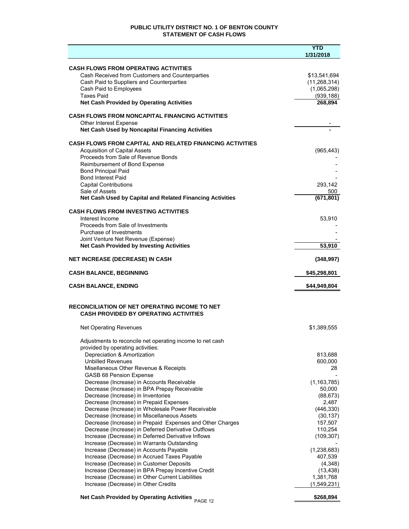#### **PUBLIC UTILITY DISTRICT NO. 1 OF BENTON COUNTY STATEMENT OF CASH FLOWS**

|                                                                                                           | <b>YTD</b><br>1/31/2018        |
|-----------------------------------------------------------------------------------------------------------|--------------------------------|
|                                                                                                           |                                |
| <b>CASH FLOWS FROM OPERATING ACTIVITIES</b>                                                               |                                |
| Cash Received from Customers and Counterparties<br>Cash Paid to Suppliers and Counterparties              | \$13,541,694<br>(11, 268, 314) |
| Cash Paid to Employees                                                                                    | (1,065,298)                    |
| <b>Taxes Paid</b>                                                                                         | (939, 188)                     |
| <b>Net Cash Provided by Operating Activities</b>                                                          | 268,894                        |
| <b>CASH FLOWS FROM NONCAPITAL FINANCING ACTIVITIES</b>                                                    |                                |
| <b>Other Interest Expense</b>                                                                             |                                |
| Net Cash Used by Noncapital Financing Activities                                                          |                                |
| <b>CASH FLOWS FROM CAPITAL AND RELATED FINANCING ACTIVITIES</b>                                           |                                |
| <b>Acquisition of Capital Assets</b>                                                                      | (965, 443)                     |
| Proceeds from Sale of Revenue Bonds                                                                       |                                |
| Reimbursement of Bond Expense<br><b>Bond Principal Paid</b>                                               |                                |
| <b>Bond Interest Paid</b>                                                                                 |                                |
| <b>Capital Contributions</b>                                                                              | 293,142                        |
| Sale of Assets                                                                                            | 500                            |
| Net Cash Used by Capital and Related Financing Activities                                                 | (671, 801)                     |
| <b>CASH FLOWS FROM INVESTING ACTIVITIES</b>                                                               |                                |
| Interest Income                                                                                           | 53,910                         |
| Proceeds from Sale of Investments<br>Purchase of Investments                                              |                                |
| Joint Venture Net Revenue (Expense)                                                                       |                                |
| <b>Net Cash Provided by Investing Activities</b>                                                          | 53,910                         |
| <b>NET INCREASE (DECREASE) IN CASH</b>                                                                    | (348, 997)                     |
| <b>CASH BALANCE, BEGINNING</b>                                                                            | \$45,298,801                   |
| <b>CASH BALANCE, ENDING</b>                                                                               | \$44,949,804                   |
|                                                                                                           |                                |
| <b>RECONCILIATION OF NET OPERATING INCOME TO NET</b>                                                      |                                |
| <b>CASH PROVIDED BY OPERATING ACTIVITIES</b>                                                              |                                |
| <b>Net Operating Revenues</b>                                                                             | \$1,389,555                    |
|                                                                                                           |                                |
| Adjustments to reconcile net operating income to net cash<br>provided by operating activities:            |                                |
| Depreciation & Amortization                                                                               | 813,688                        |
| <b>Unbilled Revenues</b>                                                                                  | 600,000                        |
| Misellaneous Other Revenue & Receipts                                                                     | 28                             |
| <b>GASB 68 Pension Expense</b>                                                                            |                                |
| Decrease (Increase) in Accounts Receivable                                                                | (1, 163, 785)                  |
| Decrease (Increase) in BPA Prepay Receivable<br>Decrease (Increase) in Inventories                        | 50,000<br>(88, 673)            |
| Decrease (Increase) in Prepaid Expenses                                                                   | 2,487                          |
| Decrease (Increase) in Wholesale Power Receivable                                                         | (446, 330)                     |
| Decrease (Increase) in Miscellaneous Assets                                                               | (30, 137)                      |
| Decrease (Increase) in Prepaid Expenses and Other Charges                                                 | 157,507                        |
| Decrease (Increase) in Deferred Derivative Outflows<br>Increase (Decrease) in Deferred Derivative Inflows | 110,254                        |
| Increase (Decrease) in Warrants Outstanding                                                               | (109, 307)                     |
| Increase (Decrease) in Accounts Payable                                                                   | (1,238,683)                    |
| Increase (Decrease) in Accrued Taxes Payable                                                              | 407,539                        |
| Increase (Decrease) in Customer Deposits                                                                  | (4,348)                        |
| Increase (Decrease) in BPA Prepay Incentive Credit                                                        | (13, 438)                      |
| Increase (Decrease) in Other Current Liabilities<br>Increase (Decrease) in Other Credits                  | 1,381,768<br>(1,549,231)       |
|                                                                                                           |                                |
| <b>Net Cash Provided by Operating Activities</b><br>PAGE 12                                               | \$268,894                      |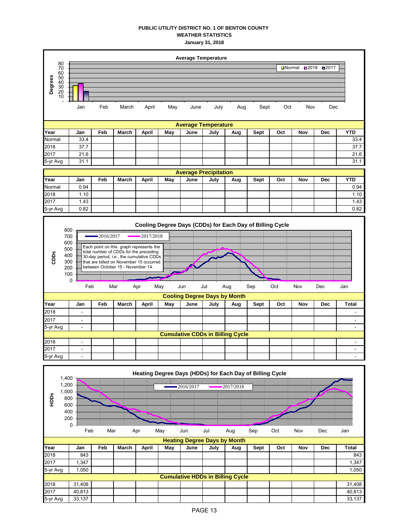#### **PUBLIC UTILITY DISTRICT NO. 1 OF BENTON COUNTY WEATHER STATISTICS January 31, 2018**

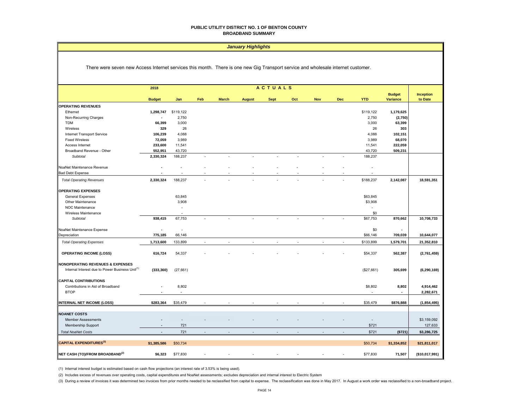#### **PUBLIC UTILITY DISTRICT NO. 1 OF BENTON COUNTY BROADBAND SUMMARY**

#### *January Highlights*

There were seven new Access Internet services this month. There is one new Gig Transport service and wholesale internet customer.

|                                                             | <b>ACTUALS</b><br>2018 |                          |                |                |               |             |     |            |                          |                          |                                  |                             |
|-------------------------------------------------------------|------------------------|--------------------------|----------------|----------------|---------------|-------------|-----|------------|--------------------------|--------------------------|----------------------------------|-----------------------------|
|                                                             | <b>Budget</b>          | Jan                      | Feb            | <b>March</b>   | <b>August</b> | <b>Sept</b> | Oct | <b>Nov</b> | Dec                      | <b>YTD</b>               | <b>Budget</b><br><b>Variance</b> | <b>Inception</b><br>to Date |
| <b>OPERATING REVENUES</b>                                   |                        |                          |                |                |               |             |     |            |                          |                          |                                  |                             |
| Ethernet                                                    | 1,298,747              | \$119,122                |                |                |               |             |     |            |                          | \$119,122                | 1,179,625                        |                             |
| Non-Recurring Charges                                       |                        | 2,750                    |                |                |               |             |     |            |                          | 2,750                    | (2,750)                          |                             |
| <b>TDM</b>                                                  | 66,399                 | 3,000                    |                |                |               |             |     |            |                          | 3,000                    | 63,399                           |                             |
| Wireless                                                    | 329                    | 26                       |                |                |               |             |     |            |                          | 26                       | 303                              |                             |
| Internet Transport Service                                  | 106,239                | 4,088                    |                |                |               |             |     |            |                          | 4,088                    | 102,151                          |                             |
| <b>Fixed Wireless</b>                                       | 72,059                 | 3,989                    |                |                |               |             |     |            |                          | 3,989                    | 68,070                           |                             |
| Access Internet                                             | 233,600                | 11,541                   |                |                |               |             |     |            |                          | 11,541                   | 222,059                          |                             |
| Broadband Revenue - Other                                   | 552,951                | 43,720                   |                |                |               |             |     |            |                          | 43,720                   | 509,231                          |                             |
| <b>Subtotal</b>                                             | 2,330,324              | 188,237                  |                |                |               |             |     |            |                          | 188,237                  |                                  |                             |
|                                                             |                        |                          |                |                |               |             |     |            |                          |                          |                                  |                             |
| NoaNet Maintenance Revenue                                  |                        |                          |                |                |               |             |     |            |                          |                          |                                  |                             |
| <b>Bad Debt Expense</b>                                     |                        |                          |                |                |               |             |     |            |                          |                          |                                  |                             |
| <b>Total Operating Revenues</b>                             | 2,330,324              | 188,237                  |                |                |               |             |     |            |                          | \$188,237                | 2,142,087                        | 18,591,351                  |
| <b>OPERATING EXPENSES</b>                                   |                        |                          |                |                |               |             |     |            |                          |                          |                                  |                             |
| General Expenses                                            |                        | 63,845                   |                |                |               |             |     |            |                          | \$63,845                 |                                  |                             |
| Other Maintenance                                           |                        | 3,908                    |                |                |               |             |     |            |                          | \$3,908                  |                                  |                             |
| NOC Maintenance                                             |                        | $\overline{\phantom{a}}$ |                |                |               |             |     |            |                          | ٠                        |                                  |                             |
| Wireless Maintenance                                        |                        |                          |                |                |               |             |     |            |                          | \$0                      |                                  |                             |
| Subtotal                                                    | 938,415                | 67,753                   |                |                |               |             |     |            |                          | \$67,753                 | 870,662                          | 10,708,733                  |
| NoaNet Maintenance Expense                                  | $\blacksquare$         | $\sim$                   |                |                |               |             |     |            |                          | \$0                      | $\blacksquare$                   |                             |
| Depreciation                                                | 775,185                | 66,146                   |                |                |               |             |     |            |                          | \$66,146                 | 709,039                          | 10,644,077                  |
| <b>Total Operating Expenses</b>                             | 1,713,600              | 133,899                  | $\overline{a}$ | $\overline{a}$ |               |             |     |            | $\overline{\phantom{a}}$ | \$133,899                | 1,579,701                        | 21,352,810                  |
|                                                             |                        |                          |                |                |               |             |     |            |                          |                          |                                  |                             |
| <b>OPERATING INCOME (LOSS)</b>                              | 616,724                | 54,337                   |                |                |               |             |     |            |                          | \$54,337                 | 562,387                          | (2,761,459)                 |
| <b>NONOPERATING REVENUES &amp; EXPENSES</b>                 |                        |                          |                |                |               |             |     |            |                          |                          |                                  |                             |
| Internal Interest due to Power Business Unit <sup>(1)</sup> | (333, 360)             | (27,661)                 |                |                |               |             |     |            |                          | (\$27,661)               | 305,699                          | (6, 290, 169)               |
| <b>CAPITAL CONTRIBUTIONS</b>                                |                        |                          |                |                |               |             |     |            |                          |                          |                                  |                             |
| Contributions in Aid of Broadband                           |                        | 8,802                    |                |                |               |             |     |            |                          | \$8,802                  | 8,802                            | 4,914,462                   |
| <b>BTOP</b>                                                 |                        | ÷,                       |                |                |               |             |     |            |                          |                          |                                  | 2,282,671                   |
| INTERNAL NET INCOME (LOSS)                                  | \$283,364              | \$35,479                 |                |                |               |             |     |            |                          | \$35,479                 | \$876,888                        | (1, 854, 495)               |
|                                                             |                        |                          |                |                |               |             |     |            |                          |                          |                                  |                             |
| <b>NOANET COSTS</b>                                         |                        |                          |                |                |               |             |     |            |                          |                          |                                  |                             |
| Member Assessments                                          |                        |                          |                |                |               |             |     |            |                          | $\overline{\phantom{a}}$ |                                  | \$3,159,092                 |
| Membership Support                                          |                        | 721                      |                |                |               |             |     |            |                          | \$721                    |                                  | 127,633                     |
| <b>Total NoaNet Costs</b>                                   | $\sim$                 | 721                      |                |                |               |             |     |            |                          | \$721                    | ( \$721)                         | \$3,286,725                 |
| <b>CAPITAL EXPENDITURES(3)</b>                              | \$1,385,586            | \$50,734                 |                |                |               |             |     |            |                          | \$50,734                 | \$1,334,852                      | \$21,811,017                |
|                                                             |                        |                          |                |                |               |             |     |            |                          |                          |                                  |                             |
| NET CASH (TO)/FROM BROADBAND <sup>(2)</sup>                 | \$6,323                | \$77,830                 |                |                |               |             |     |            |                          | \$77,830                 | 71,507                           | (\$10,017,991)              |

(1) Internal interest budget is estimated based on cash flow projections (an interest rate of 3.53% is being used).

(2) Includes excess of revenues over operating costs, capital expenditures and NoaNet assessments; excludes depreciation and internal interest to Electric System

(3) During a review of invoices it was determined two invoices from prior months needed to be reclassified from capital to expense. The reclassification was done in May 2017. In August a work order was reclassified to a no